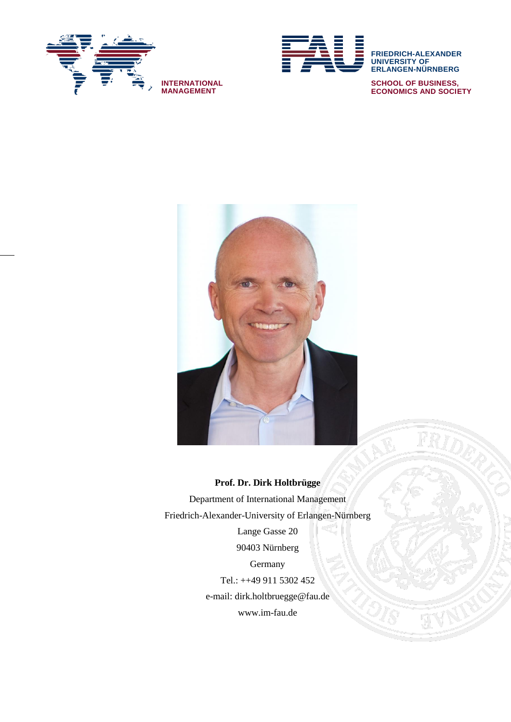



**ERLANGEN-NÜRNBERG SCHOOL OF BUSINESS, ECONOMICS AND SOCIETY**



#### **Prof. Dr. Dirk Holtbrügge**

Department of International Management Friedrich-Alexander-University of Erlangen-Nürnberg Lange Gasse 20 90403 Nürnberg **Germany** Tel.: ++49 911 5302 452 e-mail: dirk.holtbruegge@fau.de www.im-fau.de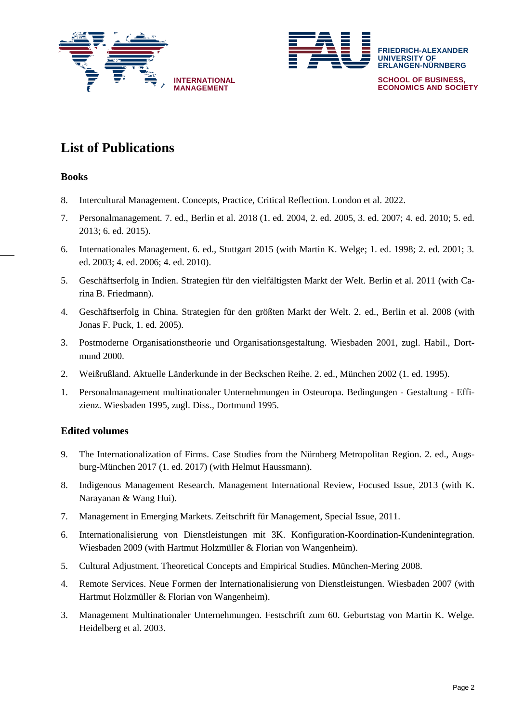



# **List of Publications**

## **Books**

- 8. Intercultural Management. Concepts, Practice, Critical Reflection. London et al. 2022.
- 7. Personalmanagement. 7. ed., Berlin et al. 2018 (1. ed. 2004, 2. ed. 2005, 3. ed. 2007; 4. ed. 2010; 5. ed. 2013; 6. ed. 2015).
- 6. Internationales Management. 6. ed., Stuttgart 2015 (with Martin K. Welge; 1. ed. 1998; 2. ed. 2001; 3. ed. 2003; 4. ed. 2006; 4. ed. 2010).
- 5. Geschäftserfolg in Indien. Strategien für den vielfältigsten Markt der Welt. Berlin et al. 2011 (with Carina B. Friedmann).
- 4. Geschäftserfolg in China. Strategien für den größten Markt der Welt. 2. ed., Berlin et al. 2008 (with Jonas F. Puck, 1. ed. 2005).
- 3. Postmoderne Organisationstheorie und Organisationsgestaltung. Wiesbaden 2001, zugl. Habil., Dortmund 2000.
- 2. Weißrußland. Aktuelle Länderkunde in der Beckschen Reihe. 2. ed., München 2002 (1. ed. 1995).
- 1. Personalmanagement multinationaler Unternehmungen in Osteuropa. Bedingungen Gestaltung Effizienz. Wiesbaden 1995, zugl. Diss., Dortmund 1995.

## **Edited volumes**

- 9. The Internationalization of Firms. Case Studies from the Nürnberg Metropolitan Region. 2. ed., Augsburg-München 2017 (1. ed. 2017) (with Helmut Haussmann).
- 8. Indigenous Management Research. Management International Review, Focused Issue, 2013 (with K. Narayanan & Wang Hui).
- 7. Management in Emerging Markets. Zeitschrift für Management, Special Issue, 2011.
- 6. Internationalisierung von Dienstleistungen mit 3K. Konfiguration-Koordination-Kundenintegration. Wiesbaden 2009 (with Hartmut Holzmüller & Florian von Wangenheim).
- 5. Cultural Adjustment. Theoretical Concepts and Empirical Studies. München-Mering 2008.
- 4. Remote Services. Neue Formen der Internationalisierung von Dienstleistungen. Wiesbaden 2007 (with Hartmut Holzmüller & Florian von Wangenheim).
- 3. Management Multinationaler Unternehmungen. Festschrift zum 60. Geburtstag von Martin K. Welge. Heidelberg et al. 2003.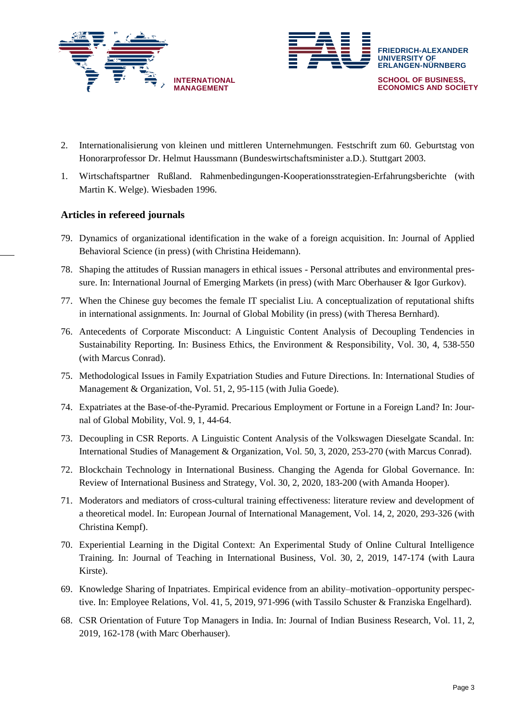



- 2. Internationalisierung von kleinen und mittleren Unternehmungen. Festschrift zum 60. Geburtstag von Honorarprofessor Dr. Helmut Haussmann (Bundeswirtschaftsminister a.D.). Stuttgart 2003.
- 1. Wirtschaftspartner Rußland. Rahmenbedingungen-Kooperationsstrategien-Erfahrungsberichte (with Martin K. Welge). Wiesbaden 1996.

## **Articles in refereed journals**

- 79. Dynamics of organizational identification in the wake of a foreign acquisition. In: Journal of Applied Behavioral Science (in press) (with Christina Heidemann).
- 78. Shaping the attitudes of Russian managers in ethical issues Personal attributes and environmental pressure. In: International Journal of Emerging Markets (in press) (with Marc Oberhauser & Igor Gurkov).
- 77. When the Chinese guy becomes the female IT specialist Liu. A conceptualization of reputational shifts in international assignments. In: Journal of Global Mobility (in press) (with Theresa Bernhard).
- 76. Antecedents of Corporate Misconduct: A Linguistic Content Analysis of Decoupling Tendencies in Sustainability Reporting. In: Business Ethics, the Environment & Responsibility, Vol. 30, 4, 538-550 (with Marcus Conrad).
- 75. Methodological Issues in Family Expatriation Studies and Future Directions. In: International Studies of Management & Organization, Vol. 51, 2, 95-115 (with Julia Goede).
- 74. Expatriates at the Base-of-the-Pyramid. Precarious Employment or Fortune in a Foreign Land? In: Journal of Global Mobility, Vol. 9, 1, 44-64.
- 73. Decoupling in CSR Reports. A Linguistic Content Analysis of the Volkswagen Dieselgate Scandal. In: International Studies of Management & Organization, Vol. 50, 3, 2020, 253-270 (with Marcus Conrad).
- 72. Blockchain Technology in International Business. Changing the Agenda for Global Governance. In: Review of International Business and Strategy, Vol. 30, 2, 2020, 183-200 (with Amanda Hooper).
- 71. Moderators and mediators of cross-cultural training effectiveness: literature review and development of a theoretical model. In: European Journal of International Management, Vol. 14, 2, 2020, 293-326 (with Christina Kempf).
- 70. Experiential Learning in the Digital Context: An Experimental Study of Online Cultural Intelligence Training. In: Journal of Teaching in International Business, Vol. 30, 2, 2019, 147-174 (with Laura Kirste).
- 69. Knowledge Sharing of Inpatriates. Empirical evidence from an ability–motivation–opportunity perspective. In: Employee Relations, Vol. 41, 5, 2019, 971-996 (with Tassilo Schuster & Franziska Engelhard).
- 68. CSR Orientation of Future Top Managers in India. In: Journal of Indian Business Research, Vol. 11, 2, 2019, 162-178 (with Marc Oberhauser).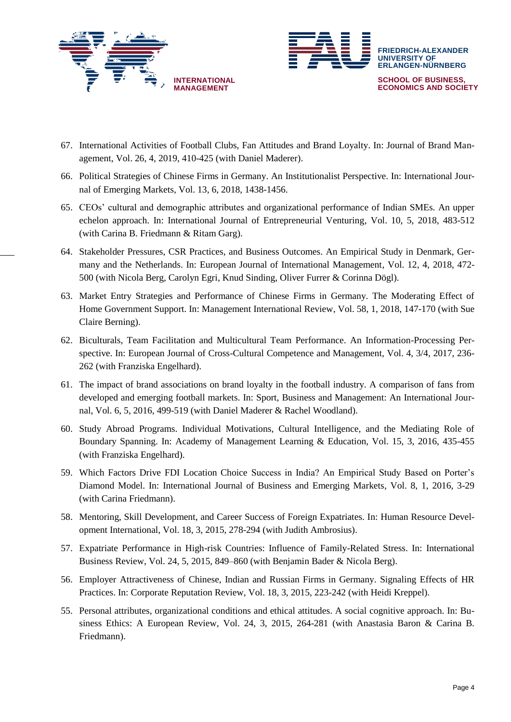



- 67. International Activities of Football Clubs, Fan Attitudes and Brand Loyalty. In: Journal of Brand Management, Vol. 26, 4, 2019, 410-425 (with Daniel Maderer).
- 66. Political Strategies of Chinese Firms in Germany. An Institutionalist Perspective. In: International Journal of Emerging Markets, Vol. 13, 6, 2018, 1438-1456.
- 65. CEOs' cultural and demographic attributes and organizational performance of Indian SMEs. An upper echelon approach. In: International Journal of Entrepreneurial Venturing, Vol. 10, 5, 2018, 483-512 (with Carina B. Friedmann & Ritam Garg).
- 64. Stakeholder Pressures, CSR Practices, and Business Outcomes. An Empirical Study in Denmark, Germany and the Netherlands. In: European Journal of International Management, Vol. 12, 4, 2018, 472- 500 (with Nicola Berg, Carolyn Egri, Knud Sinding, Oliver Furrer & Corinna Dögl).
- 63. Market Entry Strategies and Performance of Chinese Firms in Germany. The Moderating Effect of Home Government Support. In: Management International Review, Vol. 58, 1, 2018, 147-170 (with Sue Claire Berning).
- 62. Biculturals, Team Facilitation and Multicultural Team Performance. An Information-Processing Perspective. In: European Journal of Cross-Cultural Competence and Management, Vol. 4, 3/4, 2017, 236- 262 (with Franziska Engelhard).
- 61. The impact of brand associations on brand loyalty in the football industry. A comparison of fans from developed and emerging football markets. In: Sport, Business and Management: An International Journal, Vol. 6, 5, 2016, 499-519 (with Daniel Maderer & Rachel Woodland).
- 60. Study Abroad Programs. Individual Motivations, Cultural Intelligence, and the Mediating Role of Boundary Spanning. In: Academy of Management Learning & Education, Vol. 15, 3, 2016, 435-455 (with Franziska Engelhard).
- 59. Which Factors Drive FDI Location Choice Success in India? An Empirical Study Based on Porter's Diamond Model. In: International Journal of Business and Emerging Markets, Vol. 8, 1, 2016, 3-29 (with Carina Friedmann).
- 58. Mentoring, Skill Development, and Career Success of Foreign Expatriates. In: Human Resource Development International, Vol. 18, 3, 2015, 278-294 (with Judith Ambrosius).
- 57. Expatriate Performance in High-risk Countries: Influence of Family-Related Stress. In: International Business Review, Vol. 24, 5, 2015, 849–860 (with Benjamin Bader & Nicola Berg).
- 56. Employer Attractiveness of Chinese, Indian and Russian Firms in Germany. Signaling Effects of HR Practices. In: Corporate Reputation Review, Vol. 18, 3, 2015, 223-242 (with Heidi Kreppel).
- 55. Personal attributes, organizational conditions and ethical attitudes. A social cognitive approach. In: Business Ethics: A European Review, Vol. 24, 3, 2015, 264-281 (with Anastasia Baron & Carina B. Friedmann).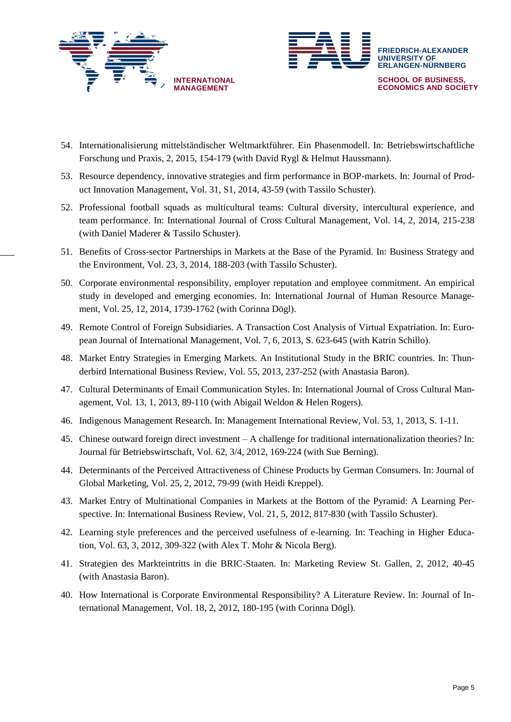



- 54. Internationalisierung mittelständischer Weltmarktführer. Ein Phasenmodell. In: Betriebswirtschaftliche Forschung und Praxis, 2, 2015, 154-179 (with David Rygl & Helmut Haussmann).
- 53. Resource dependency, innovative strategies and firm performance in BOP-markets. In: Journal of Product Innovation Management, Vol. 31, S1, 2014, 43-59 (with Tassilo Schuster).
- 52. Professional football squads as multicultural teams: Cultural diversity, intercultural experience, and team performance. In: International Journal of Cross Cultural Management, Vol. 14, 2, 2014, 215-238 (with Daniel Maderer & Tassilo Schuster).
- 51. Benefits of Cross-sector Partnerships in Markets at the Base of the Pyramid. In: Business Strategy and the Environment, Vol. 23, 3, 2014, 188-203 (with Tassilo Schuster).
- 50. Corporate environmental responsibility, employer reputation and employee commitment. An empirical study in developed and emerging economies. In: International Journal of Human Resource Management, Vol. 25, 12, 2014, 1739-1762 (with Corinna Dögl).
- 49. Remote Control of Foreign Subsidiaries. A Transaction Cost Analysis of Virtual Expatriation. In: European Journal of International Management, Vol. 7, 6, 2013, S. 623-645 (with Katrin Schillo).
- 48. Market Entry Strategies in Emerging Markets. An Institutional Study in the BRIC countries. In: Thunderbird International Business Review, Vol. 55, 2013, 237-252 (with Anastasia Baron).
- 47. Cultural Determinants of Email Communication Styles. In: International Journal of Cross Cultural Management, Vol. 13, 1, 2013, 89-110 (with Abigail Weldon & Helen Rogers).
- 46. Indigenous Management Research. In: Management International Review, Vol. 53, 1, 2013, S. 1-11.
- 45. Chinese outward foreign direct investment A challenge for traditional internationalization theories? In: Journal für Betriebswirtschaft, Vol. 62, 3/4, 2012, 169-224 (with Sue Berning).
- 44. Determinants of the Perceived Attractiveness of Chinese Products by German Consumers. In: Journal of Global Marketing, Vol. 25, 2, 2012, 79-99 (with Heidi Kreppel).
- 43. Market Entry of Multinational Companies in Markets at the Bottom of the Pyramid: A Learning Perspective. In: International Business Review, Vol. 21, 5, 2012, 817-830 (with Tassilo Schuster).
- 42. Learning style preferences and the perceived usefulness of e-learning. In: Teaching in Higher Education, Vol. 63, 3, 2012, 309-322 (with Alex T. Mohr & Nicola Berg).
- 41. Strategien des Markteintritts in die BRIC-Staaten. In: Marketing Review St. Gallen, 2, 2012, 40-45 (with Anastasia Baron).
- 40. How International is Corporate Environmental Responsibility? A Literature Review. In: Journal of International Management, Vol. 18, 2, 2012, 180-195 (with Corinna Dögl).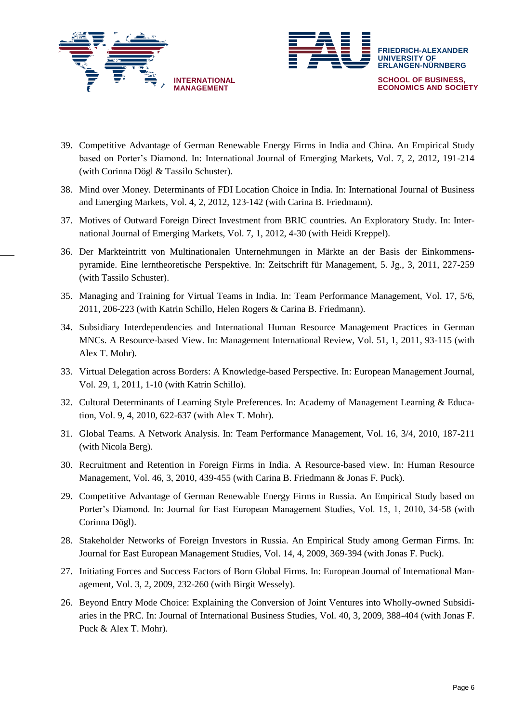



- 39. Competitive Advantage of German Renewable Energy Firms in India and China. An Empirical Study based on Porter's Diamond. In: International Journal of Emerging Markets, Vol. 7, 2, 2012, 191-214 (with Corinna Dögl & Tassilo Schuster).
- 38. Mind over Money. Determinants of FDI Location Choice in India. In: International Journal of Business and Emerging Markets, Vol. 4, 2, 2012, 123-142 (with Carina B. Friedmann).
- 37. Motives of Outward Foreign Direct Investment from BRIC countries. An Exploratory Study. In: International Journal of Emerging Markets, Vol. 7, 1, 2012, 4-30 (with Heidi Kreppel).
- 36. Der Markteintritt von Multinationalen Unternehmungen in Märkte an der Basis der Einkommenspyramide. Eine lerntheoretische Perspektive. In: Zeitschrift für Management, 5. Jg., 3, 2011, 227-259 (with Tassilo Schuster).
- 35. Managing and Training for Virtual Teams in India. In: Team Performance Management, Vol. 17, 5/6, 2011, 206-223 (with Katrin Schillo, Helen Rogers & Carina B. Friedmann).
- 34. Subsidiary Interdependencies and International Human Resource Management Practices in German MNCs. A Resource-based View. In: Management International Review, Vol. 51, 1, 2011, 93-115 (with Alex T. Mohr).
- 33. Virtual Delegation across Borders: A Knowledge-based Perspective. In: European Management Journal, Vol. 29, 1, 2011, 1-10 (with Katrin Schillo).
- 32. Cultural Determinants of Learning Style Preferences. In: Academy of Management Learning & Education, Vol. 9, 4, 2010, 622-637 (with Alex T. Mohr).
- 31. Global Teams. A Network Analysis. In: Team Performance Management, Vol. 16, 3/4, 2010, 187-211 (with Nicola Berg).
- 30. Recruitment and Retention in Foreign Firms in India. A Resource-based view. In: Human Resource Management, Vol. 46, 3, 2010, 439-455 (with Carina B. Friedmann & Jonas F. Puck).
- 29. Competitive Advantage of German Renewable Energy Firms in Russia. An Empirical Study based on Porter's Diamond. In: Journal for East European Management Studies, Vol. 15, 1, 2010, 34-58 (with Corinna Dögl).
- 28. Stakeholder Networks of Foreign Investors in Russia. An Empirical Study among German Firms. In: Journal for East European Management Studies, Vol. 14, 4, 2009, 369-394 (with Jonas F. Puck).
- 27. Initiating Forces and Success Factors of Born Global Firms. In: European Journal of International Management, Vol. 3, 2, 2009, 232-260 (with Birgit Wessely).
- 26. Beyond Entry Mode Choice: Explaining the Conversion of Joint Ventures into Wholly-owned Subsidiaries in the PRC. In: Journal of International Business Studies, Vol. 40, 3, 2009, 388-404 (with Jonas F. Puck & Alex T. Mohr).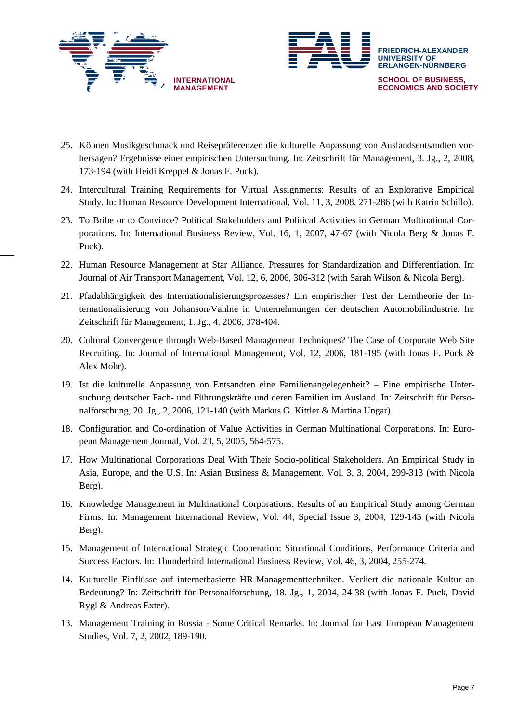



- 25. Können Musikgeschmack und Reisepräferenzen die kulturelle Anpassung von Auslandsentsandten vorhersagen? Ergebnisse einer empirischen Untersuchung. In: Zeitschrift für Management, 3. Jg., 2, 2008, 173-194 (with Heidi Kreppel & Jonas F. Puck).
- 24. Intercultural Training Requirements for Virtual Assignments: Results of an Explorative Empirical Study. In: Human Resource Development International, Vol. 11, 3, 2008, 271-286 (with Katrin Schillo).
- 23. To Bribe or to Convince? Political Stakeholders and Political Activities in German Multinational Corporations. In: International Business Review, Vol. 16, 1, 2007, 47-67 (with Nicola Berg & Jonas F. Puck).
- 22. Human Resource Management at Star Alliance. Pressures for Standardization and Differentiation. In: Journal of Air Transport Management, Vol. 12, 6, 2006, 306-312 (with Sarah Wilson & Nicola Berg).
- 21. Pfadabhängigkeit des Internationalisierungsprozesses? Ein empirischer Test der Lerntheorie der Internationalisierung von Johanson/Vahlne in Unternehmungen der deutschen Automobilindustrie. In: Zeitschrift für Management, 1. Jg., 4, 2006, 378-404.
- 20. Cultural Convergence through Web-Based Management Techniques? The Case of Corporate Web Site Recruiting. In: Journal of International Management, Vol. 12, 2006, 181-195 (with Jonas F. Puck & Alex Mohr).
- 19. Ist die kulturelle Anpassung von Entsandten eine Familienangelegenheit? Eine empirische Untersuchung deutscher Fach- und Führungskräfte und deren Familien im Ausland. In: Zeitschrift für Personalforschung, 20. Jg., 2, 2006, 121-140 (with Markus G. Kittler & Martina Ungar).
- 18. Configuration and Co-ordination of Value Activities in German Multinational Corporations. In: European Management Journal, Vol. 23, 5, 2005, 564-575.
- 17. How Multinational Corporations Deal With Their Socio-political Stakeholders. An Empirical Study in Asia, Europe, and the U.S. In: Asian Business & Management. Vol. 3, 3, 2004, 299-313 (with Nicola Berg).
- 16. Knowledge Management in Multinational Corporations. Results of an Empirical Study among German Firms. In: Management International Review, Vol. 44, Special Issue 3, 2004, 129-145 (with Nicola Berg).
- 15. Management of International Strategic Cooperation: Situational Conditions, Performance Criteria and Success Factors. In: Thunderbird International Business Review, Vol. 46, 3, 2004, 255-274.
- 14. Kulturelle Einflüsse auf internetbasierte HR-Managementtechniken. Verliert die nationale Kultur an Bedeutung? In: Zeitschrift für Personalforschung, 18. Jg., 1, 2004, 24-38 (with Jonas F. Puck, David Rygl & Andreas Exter).
- 13. Management Training in Russia Some Critical Remarks. In: Journal for East European Management Studies, Vol. 7, 2, 2002, 189-190.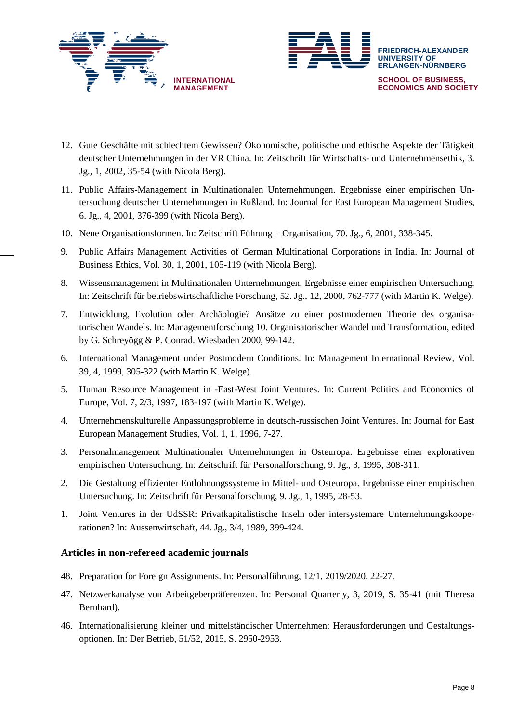



- 12. Gute Geschäfte mit schlechtem Gewissen? Ökonomische, politische und ethische Aspekte der Tätigkeit deutscher Unternehmungen in der VR China. In: Zeitschrift für Wirtschafts- und Unternehmensethik, 3. Jg., 1, 2002, 35-54 (with Nicola Berg).
- 11. Public Affairs-Management in Multinationalen Unternehmungen. Ergebnisse einer empirischen Untersuchung deutscher Unternehmungen in Rußland. In: Journal for East European Management Studies, 6. Jg., 4, 2001, 376-399 (with Nicola Berg).
- 10. Neue Organisationsformen. In: Zeitschrift Führung + Organisation, 70. Jg., 6, 2001, 338-345.
- 9. Public Affairs Management Activities of German Multinational Corporations in India. In: Journal of Business Ethics, Vol. 30, 1, 2001, 105-119 (with Nicola Berg).
- 8. Wissensmanagement in Multinationalen Unternehmungen. Ergebnisse einer empirischen Untersuchung. In: Zeitschrift für betriebswirtschaftliche Forschung, 52. Jg., 12, 2000, 762-777 (with Martin K. Welge).
- 7. Entwicklung, Evolution oder Archäologie? Ansätze zu einer postmodernen Theorie des organisatorischen Wandels. In: Managementforschung 10. Organisatorischer Wandel und Transformation, edited by G. Schreyögg & P. Conrad. Wiesbaden 2000, 99-142.
- 6. International Management under Postmodern Conditions. In: Management International Review, Vol. 39, 4, 1999, 305-322 (with Martin K. Welge).
- 5. Human Resource Management in -East-West Joint Ventures. In: Current Politics and Economics of Europe, Vol. 7, 2/3, 1997, 183-197 (with Martin K. Welge).
- 4. Unternehmenskulturelle Anpassungsprobleme in deutsch-russischen Joint Ventures. In: Journal for East European Management Studies, Vol. 1, 1, 1996, 7-27.
- 3. Personalmanagement Multinationaler Unternehmungen in Osteuropa. Ergebnisse einer explorativen empirischen Untersuchung. In: Zeitschrift für Personalforschung, 9. Jg., 3, 1995, 308-311.
- 2. Die Gestaltung effizienter Entlohnungssysteme in Mittel- und Osteuropa. Ergebnisse einer empirischen Untersuchung. In: Zeitschrift für Personalforschung, 9. Jg., 1, 1995, 28-53.
- 1. Joint Ventures in der UdSSR: Privatkapitalistische Inseln oder intersystemare Unternehmungskooperationen? In: Aussenwirtschaft, 44. Jg., 3/4, 1989, 399-424.

## **Articles in non-refereed academic journals**

- 48. Preparation for Foreign Assignments. In: Personalführung, 12/1, 2019/2020, 22-27.
- 47. Netzwerkanalyse von Arbeitgeberpräferenzen. In: Personal Quarterly, 3, 2019, S. 35-41 (mit Theresa Bernhard).
- 46. Internationalisierung kleiner und mittelständischer Unternehmen: Herausforderungen und Gestaltungsoptionen. In: Der Betrieb, 51/52, 2015, S. 2950-2953.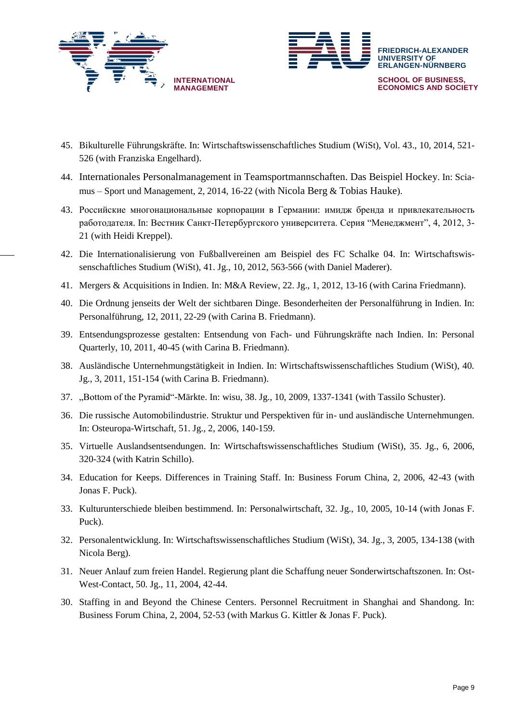



- 45. Bikulturelle Führungskräfte. In: Wirtschaftswissenschaftliches Studium (WiSt), Vol. 43., 10, 2014, 521- 526 (with Franziska Engelhard).
- 44. Internationales Personalmanagement in Teamsportmannschaften. Das Beispiel Hockey. In: Sciamus – Sport und Management, 2, 2014, 16-22 (with Nicola Berg & Tobias Hauke).
- 43. Российские многонациональные корпорации в Германии: имидж бренда и привлекательность работодателя. In: Вестник Санкт-Петербургского университета. Серия "Менеджмент", 4, 2012, 3- 21 (with Heidi Kreppel).
- 42. Die Internationalisierung von Fußballvereinen am Beispiel des FC Schalke 04. In: Wirtschaftswissenschaftliches Studium (WiSt), 41. Jg., 10, 2012, 563-566 (with Daniel Maderer).
- 41. Mergers & Acquisitions in Indien. In: M&A Review, 22. Jg., 1, 2012, 13-16 (with Carina Friedmann).
- 40. Die Ordnung jenseits der Welt der sichtbaren Dinge. Besonderheiten der Personalführung in Indien. In: Personalführung, 12, 2011, 22-29 (with Carina B. Friedmann).
- 39. Entsendungsprozesse gestalten: Entsendung von Fach- und Führungskräfte nach Indien. In: Personal Quarterly, 10, 2011, 40-45 (with Carina B. Friedmann).
- 38. Ausländische Unternehmungstätigkeit in Indien. In: Wirtschaftswissenschaftliches Studium (WiSt), 40. Jg., 3, 2011, 151-154 (with Carina B. Friedmann).
- 37. "Bottom of the Pyramid"-Märkte. In: wisu, 38. Jg., 10, 2009, 1337-1341 (with Tassilo Schuster).
- 36. Die russische Automobilindustrie. Struktur und Perspektiven für in- und ausländische Unternehmungen. In: Osteuropa-Wirtschaft, 51. Jg., 2, 2006, 140-159.
- 35. Virtuelle Auslandsentsendungen. In: Wirtschaftswissenschaftliches Studium (WiSt), 35. Jg., 6, 2006, 320-324 (with Katrin Schillo).
- 34. Education for Keeps. Differences in Training Staff. In: Business Forum China, 2, 2006, 42-43 (with Jonas F. Puck).
- 33. Kulturunterschiede bleiben bestimmend. In: Personalwirtschaft, 32. Jg., 10, 2005, 10-14 (with Jonas F. Puck).
- 32. Personalentwicklung. In: Wirtschaftswissenschaftliches Studium (WiSt), 34. Jg., 3, 2005, 134-138 (with Nicola Berg).
- 31. Neuer Anlauf zum freien Handel. Regierung plant die Schaffung neuer Sonderwirtschaftszonen. In: Ost-West-Contact, 50. Jg., 11, 2004, 42-44.
- 30. Staffing in and Beyond the Chinese Centers. Personnel Recruitment in Shanghai and Shandong. In: Business Forum China, 2, 2004, 52-53 (with Markus G. Kittler & Jonas F. Puck).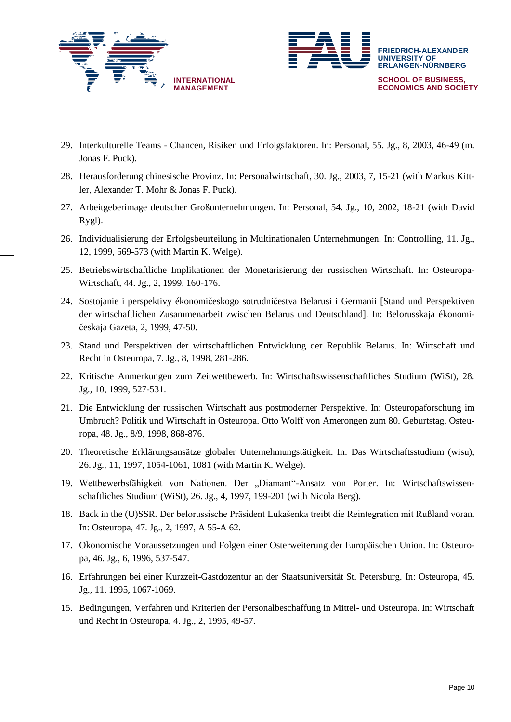



- 29. Interkulturelle Teams Chancen, Risiken und Erfolgsfaktoren. In: Personal, 55. Jg., 8, 2003, 46-49 (m. Jonas F. Puck).
- 28. Herausforderung chinesische Provinz. In: Personalwirtschaft, 30. Jg., 2003, 7, 15-21 (with Markus Kittler, Alexander T. Mohr & Jonas F. Puck).
- 27. Arbeitgeberimage deutscher Großunternehmungen. In: Personal, 54. Jg., 10, 2002, 18-21 (with David Rygl).
- 26. Individualisierung der Erfolgsbeurteilung in Multinationalen Unternehmungen. In: Controlling, 11. Jg., 12, 1999, 569-573 (with Martin K. Welge).
- 25. Betriebswirtschaftliche Implikationen der Monetarisierung der russischen Wirtschaft. In: Osteuropa-Wirtschaft, 44. Jg., 2, 1999, 160-176.
- 24. Sostojanie i perspektivy ékonomičeskogo sotrudničestva Belarusi i Germanii [Stand und Perspektiven der wirtschaftlichen Zusammenarbeit zwischen Belarus und Deutschland]. In: Belorusskaja ékonomičeskaja Gazeta, 2, 1999, 47-50.
- 23. Stand und Perspektiven der wirtschaftlichen Entwicklung der Republik Belarus. In: Wirtschaft und Recht in Osteuropa, 7. Jg., 8, 1998, 281-286.
- 22. Kritische Anmerkungen zum Zeitwettbewerb. In: Wirtschaftswissenschaftliches Studium (WiSt), 28. Jg., 10, 1999, 527-531.
- 21. Die Entwicklung der russischen Wirtschaft aus postmoderner Perspektive. In: Osteuropaforschung im Umbruch? Politik und Wirtschaft in Osteuropa. Otto Wolff von Amerongen zum 80. Geburtstag. Osteuropa, 48. Jg., 8/9, 1998, 868-876.
- 20. Theoretische Erklärungsansätze globaler Unternehmungstätigkeit. In: Das Wirtschaftsstudium (wisu), 26. Jg., 11, 1997, 1054-1061, 1081 (with Martin K. Welge).
- 19. Wettbewerbsfähigkeit von Nationen. Der "Diamant"-Ansatz von Porter. In: Wirtschaftswissenschaftliches Studium (WiSt), 26. Jg., 4, 1997, 199-201 (with Nicola Berg).
- 18. Back in the (U)SSR. Der belorussische Präsident Lukašenka treibt die Reintegration mit Rußland voran. In: Osteuropa, 47. Jg., 2, 1997, A 55-A 62.
- 17. Ökonomische Voraussetzungen und Folgen einer Osterweiterung der Europäischen Union. In: Osteuropa, 46. Jg., 6, 1996, 537-547.
- 16. Erfahrungen bei einer Kurzzeit-Gastdozentur an der Staatsuniversität St. Petersburg. In: Osteuropa, 45. Jg., 11, 1995, 1067-1069.
- 15. Bedingungen, Verfahren und Kriterien der Personalbeschaffung in Mittel- und Osteuropa. In: Wirtschaft und Recht in Osteuropa, 4. Jg., 2, 1995, 49-57.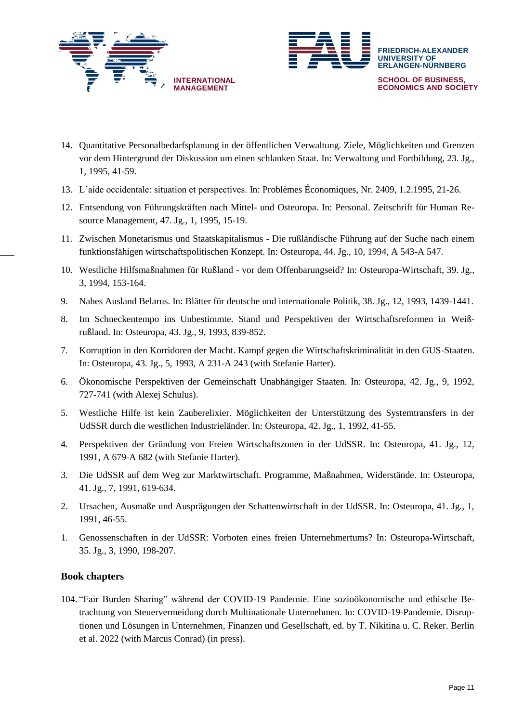



- 14. Quantitative Personalbedarfsplanung in der öffentlichen Verwaltung. Ziele, Möglichkeiten und Grenzen vor dem Hintergrund der Diskussion um einen schlanken Staat. In: Verwaltung und Fortbildung, 23. Jg., 1, 1995, 41-59.
- 13. L'aide occidentale: situation et perspectives. In: Problèmes Économiques, Nr. 2409, 1.2.1995, 21-26.
- 12. Entsendung von Führungskräften nach Mittel- und Osteuropa. In: Personal. Zeitschrift für Human Resource Management, 47. Jg., 1, 1995, 15-19.
- 11. Zwischen Monetarismus und Staatskapitalismus Die rußländische Führung auf der Suche nach einem funktionsfähigen wirtschaftspolitischen Konzept. In: Osteuropa, 44. Jg., 10, 1994, A 543-A 547.
- 10. Westliche Hilfsmaßnahmen für Rußland vor dem Offenbarungseid? In: Osteuropa-Wirtschaft, 39. Jg., 3, 1994, 153-164.
- 9. Nahes Ausland Belarus. In: Blätter für deutsche und internationale Politik, 38. Jg., 12, 1993, 1439-1441.
- 8. Im Schneckentempo ins Unbestimmte. Stand und Perspektiven der Wirtschaftsreformen in Weißrußland. In: Osteuropa, 43. Jg., 9, 1993, 839-852.
- 7. Korruption in den Korridoren der Macht. Kampf gegen die Wirtschaftskriminalität in den GUS-Staaten. In: Osteuropa, 43. Jg., 5, 1993, A 231-A 243 (with Stefanie Harter).
- 6. Ökonomische Perspektiven der Gemeinschaft Unabhängiger Staaten. In: Osteuropa, 42. Jg., 9, 1992, 727-741 (with Alexej Schulus).
- 5. Westliche Hilfe ist kein Zauberelixier. Möglichkeiten der Unterstützung des Systemtransfers in der UdSSR durch die westlichen Industrieländer. In: Osteuropa, 42. Jg., 1, 1992, 41-55.
- 4. Perspektiven der Gründung von Freien Wirtschaftszonen in der UdSSR. In: Osteuropa, 41. Jg., 12, 1991, A 679-A 682 (with Stefanie Harter).
- 3. Die UdSSR auf dem Weg zur Marktwirtschaft. Programme, Maßnahmen, Widerstände. In: Osteuropa, 41. Jg., 7, 1991, 619-634.
- 2. Ursachen, Ausmaße und Ausprägungen der Schattenwirtschaft in der UdSSR. In: Osteuropa, 41. Jg., 1, 1991, 46-55.
- 1. Genossenschaften in der UdSSR: Vorboten eines freien Unternehmertums? In: Osteuropa-Wirtschaft, 35. Jg., 3, 1990, 198-207.

## **Book chapters**

104. "Fair Burden Sharing" während der COVID-19 Pandemie. Eine sozioökonomische und ethische Betrachtung von Steuervermeidung durch Multinationale Unternehmen. In: COVID-19-Pandemie. Disruptionen und Lösungen in Unternehmen, Finanzen und Gesellschaft, ed. by T. Nikitina u. C. Reker. Berlin et al. 2022 (with Marcus Conrad) (in press).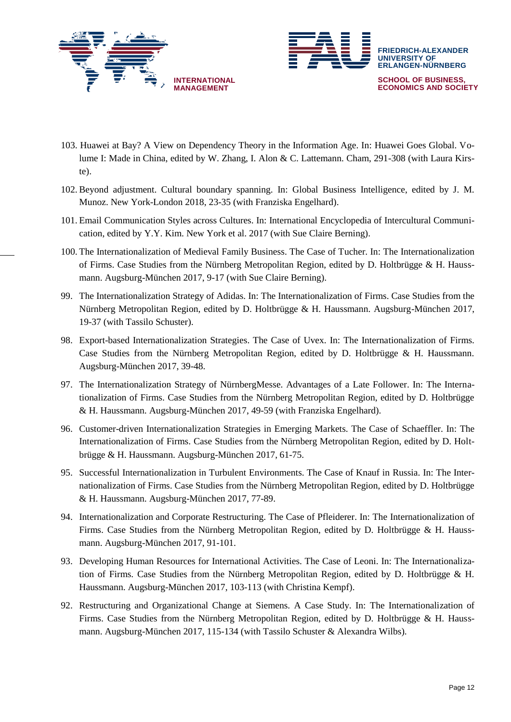



- 103. Huawei at Bay? A View on Dependency Theory in the Information Age. In: Huawei Goes Global. Volume I: Made in China, edited by W. Zhang, I. Alon & C. Lattemann. Cham, 291-308 (with Laura Kirste).
- 102. Beyond adjustment. Cultural boundary spanning. In: Global Business Intelligence, edited by J. M. Munoz. New York-London 2018, 23-35 (with Franziska Engelhard).
- 101. Email Communication Styles across Cultures. In: International Encyclopedia of Intercultural Communication, edited by Y.Y. Kim. New York et al. 2017 (with Sue Claire Berning).
- 100. The Internationalization of Medieval Family Business. The Case of Tucher. In: The Internationalization of Firms. Case Studies from the Nürnberg Metropolitan Region, edited by D. Holtbrügge & H. Haussmann. Augsburg-München 2017, 9-17 (with Sue Claire Berning).
- 99. The Internationalization Strategy of Adidas. In: The Internationalization of Firms. Case Studies from the Nürnberg Metropolitan Region, edited by D. Holtbrügge & H. Haussmann. Augsburg-München 2017, 19-37 (with Tassilo Schuster).
- 98. Export-based Internationalization Strategies. The Case of Uvex. In: The Internationalization of Firms. Case Studies from the Nürnberg Metropolitan Region, edited by D. Holtbrügge & H. Haussmann. Augsburg-München 2017, 39-48.
- 97. The Internationalization Strategy of NürnbergMesse. Advantages of a Late Follower. In: The Internationalization of Firms. Case Studies from the Nürnberg Metropolitan Region, edited by D. Holtbrügge & H. Haussmann. Augsburg-München 2017, 49-59 (with Franziska Engelhard).
- 96. Customer-driven Internationalization Strategies in Emerging Markets. The Case of Schaeffler. In: The Internationalization of Firms. Case Studies from the Nürnberg Metropolitan Region, edited by D. Holtbrügge & H. Haussmann. Augsburg-München 2017, 61-75.
- 95. Successful Internationalization in Turbulent Environments. The Case of Knauf in Russia. In: The Internationalization of Firms. Case Studies from the Nürnberg Metropolitan Region, edited by D. Holtbrügge & H. Haussmann. Augsburg-München 2017, 77-89.
- 94. Internationalization and Corporate Restructuring. The Case of Pfleiderer. In: The Internationalization of Firms. Case Studies from the Nürnberg Metropolitan Region, edited by D. Holtbrügge & H. Haussmann. Augsburg-München 2017, 91-101.
- 93. Developing Human Resources for International Activities. The Case of Leoni. In: The Internationalization of Firms. Case Studies from the Nürnberg Metropolitan Region, edited by D. Holtbrügge & H. Haussmann. Augsburg-München 2017, 103-113 (with Christina Kempf).
- 92. Restructuring and Organizational Change at Siemens. A Case Study. In: The Internationalization of Firms. Case Studies from the Nürnberg Metropolitan Region, edited by D. Holtbrügge & H. Haussmann. Augsburg-München 2017, 115-134 (with Tassilo Schuster & Alexandra Wilbs).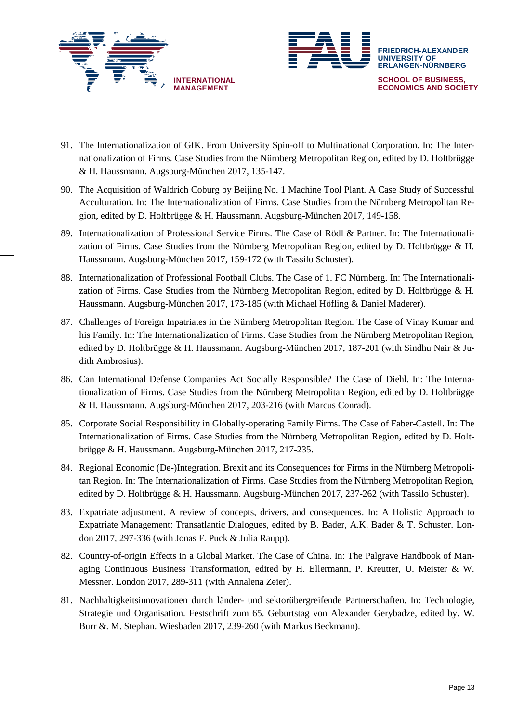



- 91. The Internationalization of GfK. From University Spin-off to Multinational Corporation. In: The Internationalization of Firms. Case Studies from the Nürnberg Metropolitan Region, edited by D. Holtbrügge & H. Haussmann. Augsburg-München 2017, 135-147.
- 90. The Acquisition of Waldrich Coburg by Beijing No. 1 Machine Tool Plant. A Case Study of Successful Acculturation. In: The Internationalization of Firms. Case Studies from the Nürnberg Metropolitan Region, edited by D. Holtbrügge & H. Haussmann. Augsburg-München 2017, 149-158.
- 89. Internationalization of Professional Service Firms. The Case of Rödl & Partner. In: The Internationalization of Firms. Case Studies from the Nürnberg Metropolitan Region, edited by D. Holtbrügge & H. Haussmann. Augsburg-München 2017, 159-172 (with Tassilo Schuster).
- 88. Internationalization of Professional Football Clubs. The Case of 1. FC Nürnberg. In: The Internationalization of Firms. Case Studies from the Nürnberg Metropolitan Region, edited by D. Holtbrügge & H. Haussmann. Augsburg-München 2017, 173-185 (with Michael Höfling & Daniel Maderer).
- 87. Challenges of Foreign Inpatriates in the Nürnberg Metropolitan Region. The Case of Vinay Kumar and his Family. In: The Internationalization of Firms. Case Studies from the Nürnberg Metropolitan Region, edited by D. Holtbrügge & H. Haussmann. Augsburg-München 2017, 187-201 (with Sindhu Nair & Judith Ambrosius).
- 86. Can International Defense Companies Act Socially Responsible? The Case of Diehl. In: The Internationalization of Firms. Case Studies from the Nürnberg Metropolitan Region, edited by D. Holtbrügge & H. Haussmann. Augsburg-München 2017, 203-216 (with Marcus Conrad).
- 85. Corporate Social Responsibility in Globally-operating Family Firms. The Case of Faber-Castell. In: The Internationalization of Firms. Case Studies from the Nürnberg Metropolitan Region, edited by D. Holtbrügge & H. Haussmann. Augsburg-München 2017, 217-235.
- 84. Regional Economic (De-)Integration. Brexit and its Consequences for Firms in the Nürnberg Metropolitan Region. In: The Internationalization of Firms. Case Studies from the Nürnberg Metropolitan Region, edited by D. Holtbrügge & H. Haussmann. Augsburg-München 2017, 237-262 (with Tassilo Schuster).
- 83. Expatriate adjustment. A review of concepts, drivers, and consequences. In: A Holistic Approach to Expatriate Management: Transatlantic Dialogues, edited by B. Bader, A.K. Bader & T. Schuster. London 2017, 297-336 (with Jonas F. Puck & Julia Raupp).
- 82. Country-of-origin Effects in a Global Market. The Case of China. In: The Palgrave Handbook of Managing Continuous Business Transformation, edited by H. Ellermann, P. Kreutter, U. Meister & W. Messner. London 2017, 289-311 (with Annalena Zeier).
- 81. Nachhaltigkeitsinnovationen durch länder- und sektorübergreifende Partnerschaften. In: Technologie, Strategie und Organisation. Festschrift zum 65. Geburtstag von Alexander Gerybadze, edited by. W. Burr &. M. Stephan. Wiesbaden 2017, 239-260 (with Markus Beckmann).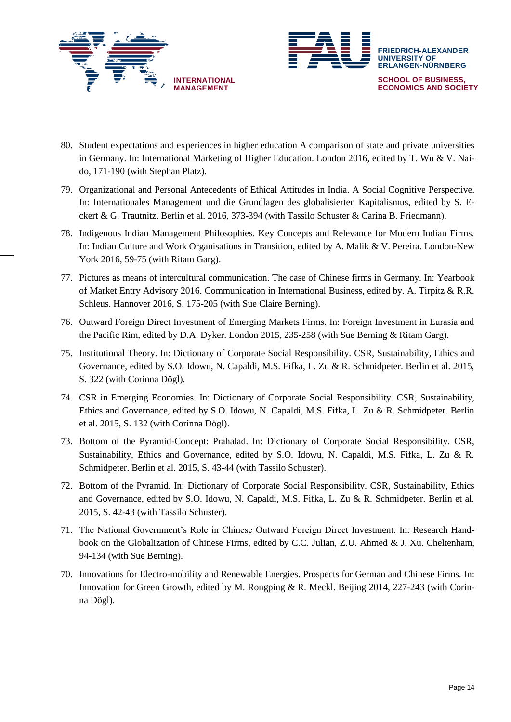



- 80. Student expectations and experiences in higher education A comparison of state and private universities in Germany. In: International Marketing of Higher Education. London 2016, edited by T. Wu & V. Naido, 171-190 (with Stephan Platz).
- 79. Organizational and Personal Antecedents of Ethical Attitudes in India. A Social Cognitive Perspective. In: Internationales Management und die Grundlagen des globalisierten Kapitalismus, edited by S. Eckert & G. Trautnitz. Berlin et al. 2016, 373-394 (with Tassilo Schuster & Carina B. Friedmann).
- 78. Indigenous Indian Management Philosophies. Key Concepts and Relevance for Modern Indian Firms. In: Indian Culture and Work Organisations in Transition, edited by A. Malik & V. Pereira. London-New York 2016, 59-75 (with Ritam Garg).
- 77. Pictures as means of intercultural communication. The case of Chinese firms in Germany. In: Yearbook of Market Entry Advisory 2016. Communication in International Business, edited by. A. Tirpitz & R.R. Schleus. Hannover 2016, S. 175-205 (with Sue Claire Berning).
- 76. Outward Foreign Direct Investment of Emerging Markets Firms. In: Foreign Investment in Eurasia and the Pacific Rim, edited by D.A. Dyker. London 2015, 235-258 (with Sue Berning & Ritam Garg).
- 75. Institutional Theory. In: Dictionary of Corporate Social Responsibility. CSR, Sustainability, Ethics and Governance, edited by S.O. Idowu, N. Capaldi, M.S. Fifka, L. Zu & R. Schmidpeter. Berlin et al. 2015, S. 322 (with Corinna Dögl).
- 74. CSR in Emerging Economies. In: Dictionary of Corporate Social Responsibility. CSR, Sustainability, Ethics and Governance, edited by S.O. Idowu, N. Capaldi, M.S. Fifka, L. Zu & R. Schmidpeter. Berlin et al. 2015, S. 132 (with Corinna Dögl).
- 73. Bottom of the Pyramid-Concept: Prahalad. In: Dictionary of Corporate Social Responsibility. CSR, Sustainability, Ethics and Governance, edited by S.O. Idowu, N. Capaldi, M.S. Fifka, L. Zu & R. Schmidpeter. Berlin et al. 2015, S. 43-44 (with Tassilo Schuster).
- 72. Bottom of the Pyramid. In: Dictionary of Corporate Social Responsibility. CSR, Sustainability, Ethics and Governance, edited by S.O. Idowu, N. Capaldi, M.S. Fifka, L. Zu & R. Schmidpeter. Berlin et al. 2015, S. 42-43 (with Tassilo Schuster).
- 71. The National Government's Role in Chinese Outward Foreign Direct Investment. In: Research Handbook on the Globalization of Chinese Firms, edited by C.C. Julian, Z.U. Ahmed & J. Xu. Cheltenham, 94-134 (with Sue Berning).
- 70. Innovations for Electro-mobility and Renewable Energies. Prospects for German and Chinese Firms. In: Innovation for Green Growth, edited by M. Rongping & R. Meckl. Beijing 2014, 227-243 (with Corinna Dögl).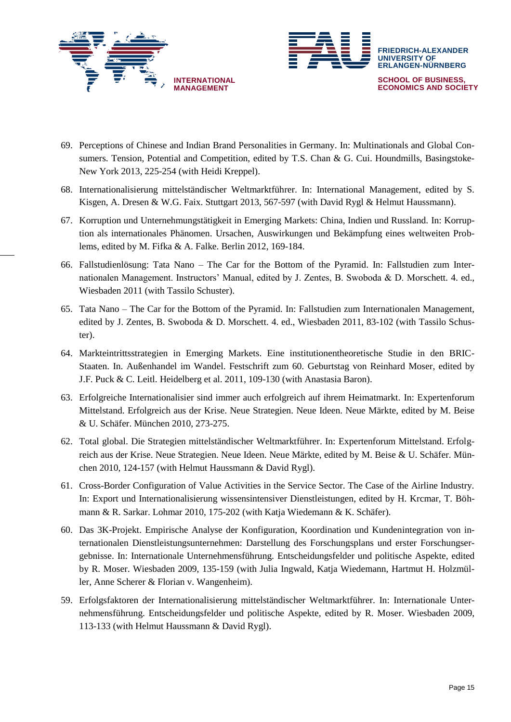



- 69. Perceptions of Chinese and Indian Brand Personalities in Germany. In: Multinationals and Global Consumers. Tension, Potential and Competition, edited by T.S. Chan & G. Cui. Houndmills, Basingstoke-New York 2013, 225-254 (with Heidi Kreppel).
- 68. Internationalisierung mittelständischer Weltmarktführer. In: International Management, edited by S. Kisgen, A. Dresen & W.G. Faix. Stuttgart 2013, 567-597 (with David Rygl & Helmut Haussmann).
- 67. Korruption und Unternehmungstätigkeit in Emerging Markets: China, Indien und Russland. In: Korruption als internationales Phänomen. Ursachen, Auswirkungen und Bekämpfung eines weltweiten Problems, edited by M. Fifka & A. Falke. Berlin 2012, 169-184.
- 66. Fallstudienlösung: Tata Nano The Car for the Bottom of the Pyramid. In: Fallstudien zum Internationalen Management. Instructors' Manual, edited by J. Zentes, B. Swoboda & D. Morschett. 4. ed., Wiesbaden 2011 (with Tassilo Schuster).
- 65. Tata Nano The Car for the Bottom of the Pyramid. In: Fallstudien zum Internationalen Management, edited by J. Zentes, B. Swoboda & D. Morschett. 4. ed., Wiesbaden 2011, 83-102 (with Tassilo Schuster).
- 64. Markteintrittsstrategien in Emerging Markets. Eine institutionentheoretische Studie in den BRIC-Staaten. In. Außenhandel im Wandel. Festschrift zum 60. Geburtstag von Reinhard Moser, edited by J.F. Puck & C. Leitl. Heidelberg et al. 2011, 109-130 (with Anastasia Baron).
- 63. Erfolgreiche Internationalisier sind immer auch erfolgreich auf ihrem Heimatmarkt. In: Expertenforum Mittelstand. Erfolgreich aus der Krise. Neue Strategien. Neue Ideen. Neue Märkte, edited by M. Beise & U. Schäfer. München 2010, 273-275.
- 62. Total global. Die Strategien mittelständischer Weltmarktführer. In: Expertenforum Mittelstand. Erfolgreich aus der Krise. Neue Strategien. Neue Ideen. Neue Märkte, edited by M. Beise & U. Schäfer. München 2010, 124-157 (with Helmut Haussmann & David Rygl).
- 61. Cross-Border Configuration of Value Activities in the Service Sector. The Case of the Airline Industry. In: Export und Internationalisierung wissensintensiver Dienstleistungen, edited by H. Krcmar, T. Böhmann & R. Sarkar. Lohmar 2010, 175-202 (with Katja Wiedemann & K. Schäfer).
- 60. Das 3K-Projekt. Empirische Analyse der Konfiguration, Koordination und Kundenintegration von internationalen Dienstleistungsunternehmen: Darstellung des Forschungsplans und erster Forschungsergebnisse. In: Internationale Unternehmensführung. Entscheidungsfelder und politische Aspekte, edited by R. Moser. Wiesbaden 2009, 135-159 (with Julia Ingwald, Katja Wiedemann, Hartmut H. Holzmüller, Anne Scherer & Florian v. Wangenheim).
- 59. Erfolgsfaktoren der Internationalisierung mittelständischer Weltmarktführer. In: Internationale Unternehmensführung. Entscheidungsfelder und politische Aspekte, edited by R. Moser. Wiesbaden 2009, 113-133 (with Helmut Haussmann & David Rygl).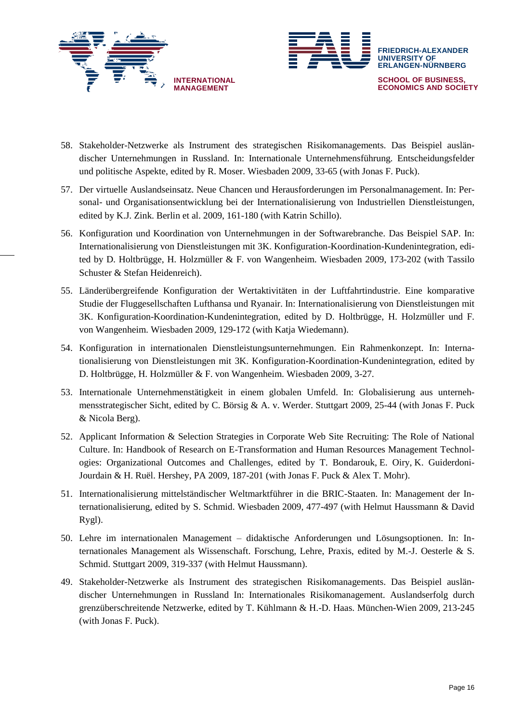



- 58. Stakeholder-Netzwerke als Instrument des strategischen Risikomanagements. Das Beispiel ausländischer Unternehmungen in Russland. In: Internationale Unternehmensführung. Entscheidungsfelder und politische Aspekte, edited by R. Moser. Wiesbaden 2009, 33-65 (with Jonas F. Puck).
- 57. Der virtuelle Auslandseinsatz. Neue Chancen und Herausforderungen im Personalmanagement. In: Personal- und Organisationsentwicklung bei der Internationalisierung von Industriellen Dienstleistungen, edited by K.J. Zink. Berlin et al. 2009, 161-180 (with Katrin Schillo).
- 56. Konfiguration und Koordination von Unternehmungen in der Softwarebranche. Das Beispiel SAP. In: Internationalisierung von Dienstleistungen mit 3K. Konfiguration-Koordination-Kundenintegration, edited by D. Holtbrügge, H. Holzmüller & F. von Wangenheim. Wiesbaden 2009, 173-202 (with Tassilo Schuster & Stefan Heidenreich).
- 55. Länderübergreifende Konfiguration der Wertaktivitäten in der Luftfahrtindustrie. Eine komparative Studie der Fluggesellschaften Lufthansa und Ryanair. In: Internationalisierung von Dienstleistungen mit 3K. Konfiguration-Koordination-Kundenintegration, edited by D. Holtbrügge, H. Holzmüller und F. von Wangenheim. Wiesbaden 2009, 129-172 (with Katja Wiedemann).
- 54. Konfiguration in internationalen Dienstleistungsunternehmungen. Ein Rahmenkonzept. In: Internationalisierung von Dienstleistungen mit 3K. Konfiguration-Koordination-Kundenintegration, edited by D. Holtbrügge, H. Holzmüller & F. von Wangenheim. Wiesbaden 2009, 3-27.
- 53. Internationale Unternehmenstätigkeit in einem globalen Umfeld. In: Globalisierung aus unternehmensstrategischer Sicht, edited by C. Börsig & A. v. Werder. Stuttgart 2009, 25-44 (with Jonas F. Puck & Nicola Berg).
- 52. Applicant Information & Selection Strategies in Corporate Web Site Recruiting: The Role of National Culture. In: Handbook of Research on E-Transformation and Human Resources Management Technologies: Organizational Outcomes and Challenges, edited by T. Bondarouk, E. Oiry, K. Guiderdoni-Jourdain & H. Ruël. Hershey, PA 2009, 187-201 (with Jonas F. Puck & Alex T. Mohr).
- 51. Internationalisierung mittelständischer Weltmarktführer in die BRIC-Staaten. In: Management der Internationalisierung, edited by S. Schmid. Wiesbaden 2009, 477-497 (with Helmut Haussmann & David Rygl).
- 50. Lehre im internationalen Management didaktische Anforderungen und Lösungsoptionen. In: Internationales Management als Wissenschaft. Forschung, Lehre, Praxis, edited by M.-J. Oesterle & S. Schmid. Stuttgart 2009, 319-337 (with Helmut Haussmann).
- 49. Stakeholder-Netzwerke als Instrument des strategischen Risikomanagements. Das Beispiel ausländischer Unternehmungen in Russland In: Internationales Risikomanagement. Auslandserfolg durch grenzüberschreitende Netzwerke, edited by T. Kühlmann & H.-D. Haas. München-Wien 2009, 213-245 (with Jonas F. Puck).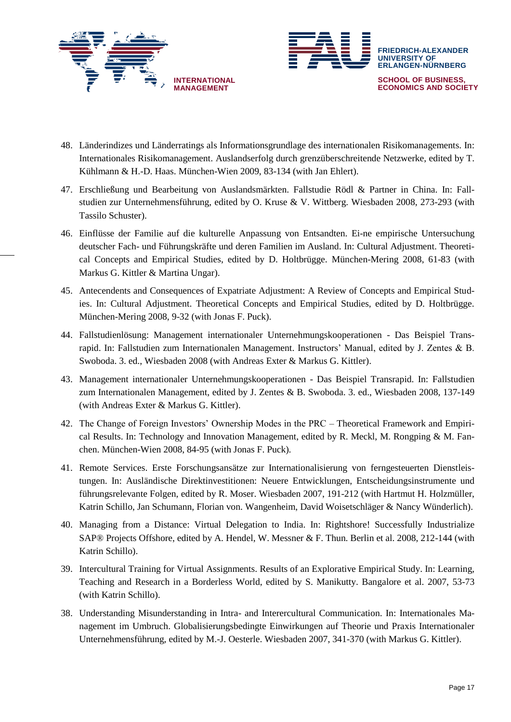



- 48. Länderindizes und Länderratings als Informationsgrundlage des internationalen Risikomanagements. In: Internationales Risikomanagement. Auslandserfolg durch grenzüberschreitende Netzwerke, edited by T. Kühlmann & H.-D. Haas. München-Wien 2009, 83-134 (with Jan Ehlert).
- 47. Erschließung und Bearbeitung von Auslandsmärkten. Fallstudie Rödl & Partner in China. In: Fallstudien zur Unternehmensführung, edited by O. Kruse & V. Wittberg. Wiesbaden 2008, 273-293 (with Tassilo Schuster).
- 46. Einflüsse der Familie auf die kulturelle Anpassung von Entsandten. Ei-ne empirische Untersuchung deutscher Fach- und Führungskräfte und deren Familien im Ausland. In: Cultural Adjustment. Theoretical Concepts and Empirical Studies, edited by D. Holtbrügge. München-Mering 2008, 61-83 (with Markus G. Kittler & Martina Ungar).
- 45. Antecendents and Consequences of Expatriate Adjustment: A Review of Concepts and Empirical Studies. In: Cultural Adjustment. Theoretical Concepts and Empirical Studies, edited by D. Holtbrügge. München-Mering 2008, 9-32 (with Jonas F. Puck).
- 44. Fallstudienlösung: Management internationaler Unternehmungskooperationen Das Beispiel Transrapid. In: Fallstudien zum Internationalen Management. Instructors' Manual, edited by J. Zentes & B. Swoboda. 3. ed., Wiesbaden 2008 (with Andreas Exter & Markus G. Kittler).
- 43. Management internationaler Unternehmungskooperationen Das Beispiel Transrapid. In: Fallstudien zum Internationalen Management, edited by J. Zentes & B. Swoboda. 3. ed., Wiesbaden 2008, 137-149 (with Andreas Exter & Markus G. Kittler).
- 42. The Change of Foreign Investors' Ownership Modes in the PRC Theoretical Framework and Empirical Results. In: Technology and Innovation Management, edited by R. Meckl, M. Rongping & M. Fanchen. München-Wien 2008, 84-95 (with Jonas F. Puck).
- 41. Remote Services. Erste Forschungsansätze zur Internationalisierung von ferngesteuerten Dienstleistungen. In: Ausländische Direktinvestitionen: Neuere Entwicklungen, Entscheidungsinstrumente und führungsrelevante Folgen, edited by R. Moser. Wiesbaden 2007, 191-212 (with Hartmut H. Holzmüller, Katrin Schillo, Jan Schumann, Florian von. Wangenheim, David Woisetschläger & Nancy Wünderlich).
- 40. Managing from a Distance: Virtual Delegation to India. In: Rightshore! Successfully Industrialize SAP® Projects Offshore, edited by A. Hendel, W. Messner & F. Thun. Berlin et al. 2008, 212-144 (with Katrin Schillo).
- 39. Intercultural Training for Virtual Assignments. Results of an Explorative Empirical Study. In: Learning, Teaching and Research in a Borderless World, edited by S. Manikutty. Bangalore et al. 2007, 53-73 (with Katrin Schillo).
- 38. Understanding Misunderstanding in Intra- and Interercultural Communication. In: Internationales Management im Umbruch. Globalisierungsbedingte Einwirkungen auf Theorie und Praxis Internationaler Unternehmensführung, edited by M.-J. Oesterle. Wiesbaden 2007, 341-370 (with Markus G. Kittler).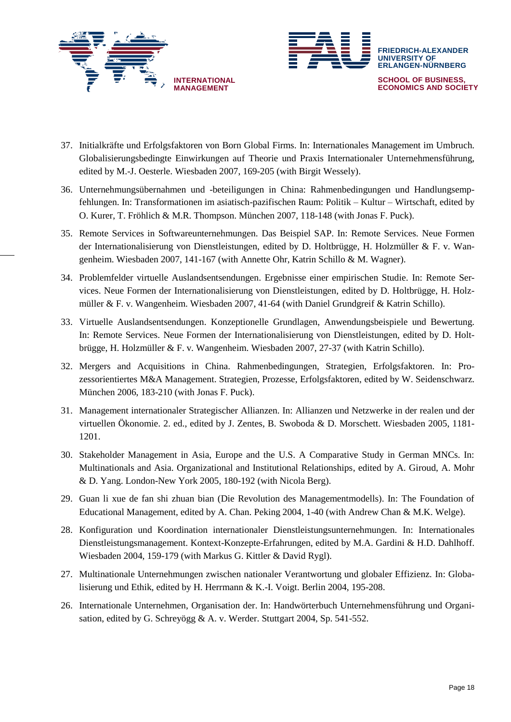



- 37. Initialkräfte und Erfolgsfaktoren von Born Global Firms. In: Internationales Management im Umbruch. Globalisierungsbedingte Einwirkungen auf Theorie und Praxis Internationaler Unternehmensführung, edited by M.-J. Oesterle. Wiesbaden 2007, 169-205 (with Birgit Wessely).
- 36. Unternehmungsübernahmen und -beteiligungen in China: Rahmenbedingungen und Handlungsempfehlungen. In: Transformationen im asiatisch-pazifischen Raum: Politik – Kultur – Wirtschaft, edited by O. Kurer, T. Fröhlich & M.R. Thompson. München 2007, 118-148 (with Jonas F. Puck).
- 35. Remote Services in Softwareunternehmungen. Das Beispiel SAP. In: Remote Services. Neue Formen der Internationalisierung von Dienstleistungen, edited by D. Holtbrügge, H. Holzmüller & F. v. Wangenheim. Wiesbaden 2007, 141-167 (with Annette Ohr, Katrin Schillo & M. Wagner).
- 34. Problemfelder virtuelle Auslandsentsendungen. Ergebnisse einer empirischen Studie. In: Remote Services. Neue Formen der Internationalisierung von Dienstleistungen, edited by D. Holtbrügge, H. Holzmüller & F. v. Wangenheim. Wiesbaden 2007, 41-64 (with Daniel Grundgreif & Katrin Schillo).
- 33. Virtuelle Auslandsentsendungen. Konzeptionelle Grundlagen, Anwendungsbeispiele und Bewertung. In: Remote Services. Neue Formen der Internationalisierung von Dienstleistungen, edited by D. Holtbrügge, H. Holzmüller & F. v. Wangenheim. Wiesbaden 2007, 27-37 (with Katrin Schillo).
- 32. Mergers and Acquisitions in China. Rahmenbedingungen, Strategien, Erfolgsfaktoren. In: Prozessorientiertes M&A Management. Strategien, Prozesse, Erfolgsfaktoren, edited by W. Seidenschwarz. München 2006, 183-210 (with Jonas F. Puck).
- 31. Management internationaler Strategischer Allianzen. In: Allianzen und Netzwerke in der realen und der virtuellen Ökonomie. 2. ed., edited by J. Zentes, B. Swoboda & D. Morschett. Wiesbaden 2005, 1181- 1201.
- 30. Stakeholder Management in Asia, Europe and the U.S. A Comparative Study in German MNCs. In: Multinationals and Asia. Organizational and Institutional Relationships, edited by A. Giroud, A. Mohr & D. Yang. London-New York 2005, 180-192 (with Nicola Berg).
- 29. Guan li xue de fan shi zhuan bian (Die Revolution des Managementmodells). In: The Foundation of Educational Management, edited by A. Chan. Peking 2004, 1-40 (with Andrew Chan & M.K. Welge).
- 28. Konfiguration und Koordination internationaler Dienstleistungsunternehmungen. In: Internationales Dienstleistungsmanagement. Kontext-Konzepte-Erfahrungen, edited by M.A. Gardini & H.D. Dahlhoff. Wiesbaden 2004, 159-179 (with Markus G. Kittler & David Rygl).
- 27. Multinationale Unternehmungen zwischen nationaler Verantwortung und globaler Effizienz. In: Globalisierung und Ethik, edited by H. Herrmann & K.-I. Voigt. Berlin 2004, 195-208.
- 26. Internationale Unternehmen, Organisation der. In: Handwörterbuch Unternehmensführung und Organisation, edited by G. Schreyögg & A. v. Werder. Stuttgart 2004, Sp. 541-552.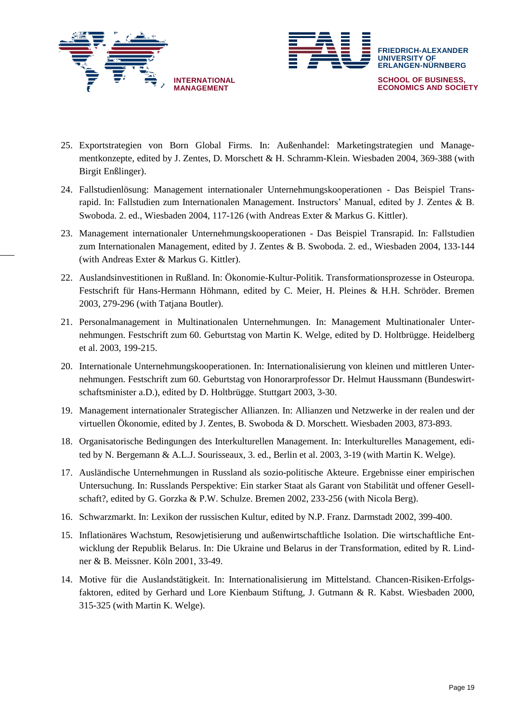



- 25. Exportstrategien von Born Global Firms. In: Außenhandel: Marketingstrategien und Managementkonzepte, edited by J. Zentes, D. Morschett & H. Schramm-Klein. Wiesbaden 2004, 369-388 (with Birgit Enßlinger).
- 24. Fallstudienlösung: Management internationaler Unternehmungskooperationen Das Beispiel Transrapid. In: Fallstudien zum Internationalen Management. Instructors' Manual, edited by J. Zentes & B. Swoboda. 2. ed., Wiesbaden 2004, 117-126 (with Andreas Exter & Markus G. Kittler).
- 23. Management internationaler Unternehmungskooperationen Das Beispiel Transrapid. In: Fallstudien zum Internationalen Management, edited by J. Zentes & B. Swoboda. 2. ed., Wiesbaden 2004, 133-144 (with Andreas Exter & Markus G. Kittler).
- 22. Auslandsinvestitionen in Rußland. In: Ökonomie-Kultur-Politik. Transformationsprozesse in Osteuropa. Festschrift für Hans-Hermann Höhmann, edited by C. Meier, H. Pleines & H.H. Schröder. Bremen 2003, 279-296 (with Tatjana Boutler).
- 21. Personalmanagement in Multinationalen Unternehmungen. In: Management Multinationaler Unternehmungen. Festschrift zum 60. Geburtstag von Martin K. Welge, edited by D. Holtbrügge. Heidelberg et al. 2003, 199-215.
- 20. Internationale Unternehmungskooperationen. In: Internationalisierung von kleinen und mittleren Unternehmungen. Festschrift zum 60. Geburtstag von Honorarprofessor Dr. Helmut Haussmann (Bundeswirtschaftsminister a.D.), edited by D. Holtbrügge. Stuttgart 2003, 3-30.
- 19. Management internationaler Strategischer Allianzen. In: Allianzen und Netzwerke in der realen und der virtuellen Ökonomie, edited by J. Zentes, B. Swoboda & D. Morschett. Wiesbaden 2003, 873-893.
- 18. Organisatorische Bedingungen des Interkulturellen Management. In: Interkulturelles Management, edited by N. Bergemann & A.L.J. Sourisseaux, 3. ed., Berlin et al. 2003, 3-19 (with Martin K. Welge).
- 17. Ausländische Unternehmungen in Russland als sozio-politische Akteure. Ergebnisse einer empirischen Untersuchung. In: Russlands Perspektive: Ein starker Staat als Garant von Stabilität und offener Gesellschaft?, edited by G. Gorzka & P.W. Schulze. Bremen 2002, 233-256 (with Nicola Berg).
- 16. Schwarzmarkt. In: Lexikon der russischen Kultur, edited by N.P. Franz. Darmstadt 2002, 399-400.
- 15. Inflationäres Wachstum, Resowjetisierung und außenwirtschaftliche Isolation. Die wirtschaftliche Entwicklung der Republik Belarus. In: Die Ukraine und Belarus in der Transformation, edited by R. Lindner & B. Meissner. Köln 2001, 33-49.
- 14. Motive für die Auslandstätigkeit. In: Internationalisierung im Mittelstand. Chancen-Risiken-Erfolgsfaktoren, edited by Gerhard und Lore Kienbaum Stiftung, J. Gutmann & R. Kabst. Wiesbaden 2000, 315-325 (with Martin K. Welge).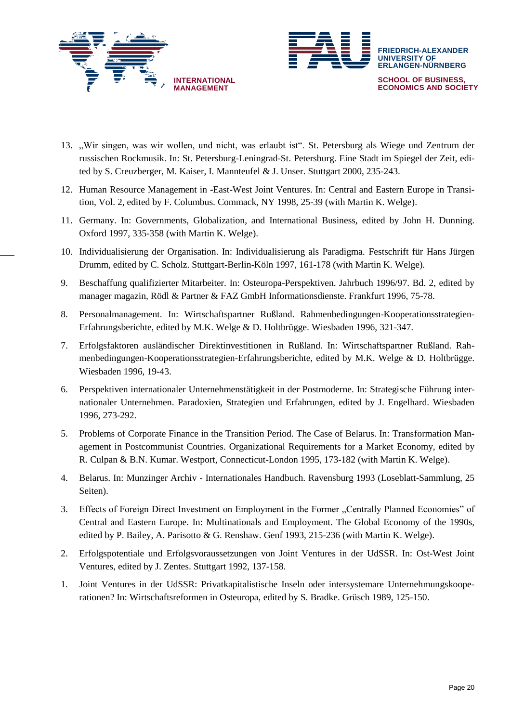



- 13. "Wir singen, was wir wollen, und nicht, was erlaubt ist". St. Petersburg als Wiege und Zentrum der russischen Rockmusik. In: St. Petersburg-Leningrad-St. Petersburg. Eine Stadt im Spiegel der Zeit, edited by S. Creuzberger, M. Kaiser, I. Mannteufel & J. Unser. Stuttgart 2000, 235-243.
- 12. Human Resource Management in -East-West Joint Ventures. In: Central and Eastern Europe in Transition, Vol. 2, edited by F. Columbus. Commack, NY 1998, 25-39 (with Martin K. Welge).
- 11. Germany. In: Governments, Globalization, and International Business, edited by John H. Dunning. Oxford 1997, 335-358 (with Martin K. Welge).
- 10. Individualisierung der Organisation. In: Individualisierung als Paradigma. Festschrift für Hans Jürgen Drumm, edited by C. Scholz. Stuttgart-Berlin-Köln 1997, 161-178 (with Martin K. Welge).
- 9. Beschaffung qualifizierter Mitarbeiter. In: Osteuropa-Perspektiven. Jahrbuch 1996/97. Bd. 2, edited by manager magazin, Rödl & Partner & FAZ GmbH Informationsdienste. Frankfurt 1996, 75-78.
- 8. Personalmanagement. In: Wirtschaftspartner Rußland. Rahmenbedingungen-Kooperationsstrategien-Erfahrungsberichte, edited by M.K. Welge & D. Holtbrügge. Wiesbaden 1996, 321-347.
- 7. Erfolgsfaktoren ausländischer Direktinvestitionen in Rußland. In: Wirtschaftspartner Rußland. Rahmenbedingungen-Kooperationsstrategien-Erfahrungsberichte, edited by M.K. Welge & D. Holtbrügge. Wiesbaden 1996, 19-43.
- 6. Perspektiven internationaler Unternehmenstätigkeit in der Postmoderne. In: Strategische Führung internationaler Unternehmen. Paradoxien, Strategien und Erfahrungen, edited by J. Engelhard. Wiesbaden 1996, 273-292.
- 5. Problems of Corporate Finance in the Transition Period. The Case of Belarus. In: Transformation Management in Postcommunist Countries. Organizational Requirements for a Market Economy, edited by R. Culpan & B.N. Kumar. Westport, Connecticut-London 1995, 173-182 (with Martin K. Welge).
- 4. Belarus. In: Munzinger Archiv Internationales Handbuch. Ravensburg 1993 (Loseblatt-Sammlung, 25 Seiten).
- 3. Effects of Foreign Direct Investment on Employment in the Former "Centrally Planned Economies" of Central and Eastern Europe. In: Multinationals and Employment. The Global Economy of the 1990s, edited by P. Bailey, A. Parisotto & G. Renshaw. Genf 1993, 215-236 (with Martin K. Welge).
- 2. Erfolgspotentiale und Erfolgsvoraussetzungen von Joint Ventures in der UdSSR. In: Ost-West Joint Ventures, edited by J. Zentes. Stuttgart 1992, 137-158.
- 1. Joint Ventures in der UdSSR: Privatkapitalistische Inseln oder intersystemare Unternehmungskooperationen? In: Wirtschaftsreformen in Osteuropa, edited by S. Bradke. Grüsch 1989, 125-150.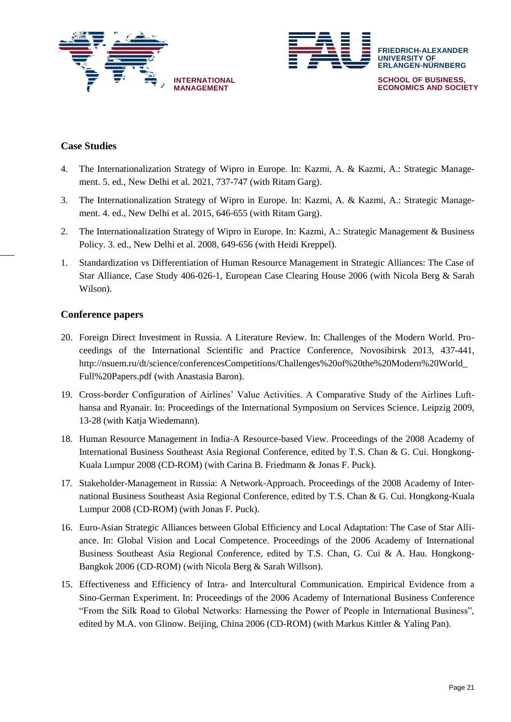



## **Case Studies**

- 4. The Internationalization Strategy of Wipro in Europe. In: Kazmi, A. & Kazmi, A.: Strategic Management. 5. ed., New Delhi et al. 2021, 737-747 (with Ritam Garg).
- 3. The Internationalization Strategy of Wipro in Europe. In: Kazmi, A. & Kazmi, A.: Strategic Management. 4. ed., New Delhi et al. 2015, 646-655 (with Ritam Garg).
- 2. The Internationalization Strategy of Wipro in Europe. In: Kazmi, A.: Strategic Management & Business Policy. 3. ed., New Delhi et al. 2008, 649-656 (with Heidi Kreppel).
- 1. Standardization vs Differentiation of Human Resource Management in Strategic Alliances: The Case of Star Alliance, Case Study 406-026-1, European Case Clearing House 2006 (with Nicola Berg & Sarah Wilson).

## **Conference papers**

- 20. Foreign Direct Investment in Russia. A Literature Review. In: Challenges of the Modern World. Proceedings of the International Scientific and Practice Conference, Novosibirsk 2013, 437-441, http://nsuem.ru/dt/science/conferencesCompetitions/Challenges%20of%20the%20Modern%20World\_ Full%20Papers.pdf (with Anastasia Baron).
- 19. Cross-border Configuration of Airlines' Value Activities. A Comparative Study of the Airlines Lufthansa and Ryanair. In: Proceedings of the International Symposium on Services Science. Leipzig 2009, 13-28 (with Katja Wiedemann).
- 18. Human Resource Management in India-A Resource-based View. Proceedings of the 2008 Academy of International Business Southeast Asia Regional Conference, edited by T.S. Chan & G. Cui. Hongkong-Kuala Lumpur 2008 (CD-ROM) (with Carina B. Friedmann & Jonas F. Puck).
- 17. Stakeholder-Management in Russia: A Network-Approach. Proceedings of the 2008 Academy of International Business Southeast Asia Regional Conference, edited by T.S. Chan & G. Cui. Hongkong-Kuala Lumpur 2008 (CD-ROM) (with Jonas F. Puck).
- 16. Euro-Asian Strategic Alliances between Global Efficiency and Local Adaptation: The Case of Star Alliance. In: Global Vision and Local Competence. Proceedings of the 2006 Academy of International Business Southeast Asia Regional Conference, edited by T.S. Chan, G. Cui & A. Hau. Hongkong-Bangkok 2006 (CD-ROM) (with Nicola Berg & Sarah Willson).
- 15. Effectiveness and Efficiency of Intra- and Intercultural Communication. Empirical Evidence from a Sino-German Experiment. In: Proceedings of the 2006 Academy of International Business Conference "From the Silk Road to Global Networks: Harnessing the Power of People in International Business", edited by M.A. von Glinow. Beijing, China 2006 (CD-ROM) (with Markus Kittler & Yaling Pan).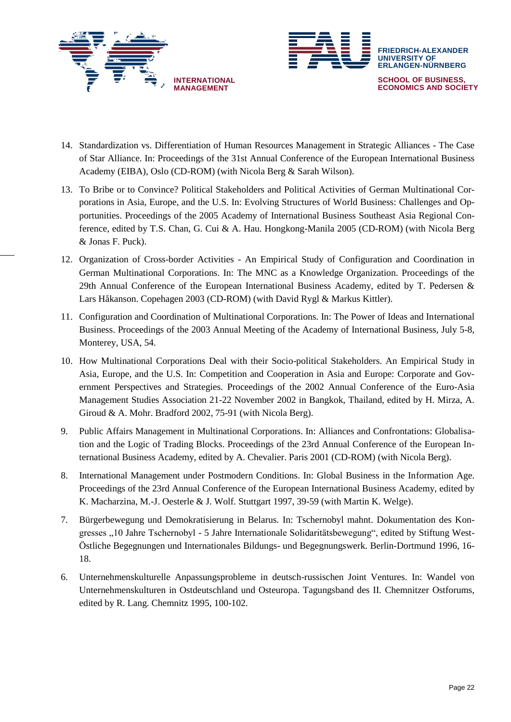



- 14. Standardization vs. Differentiation of Human Resources Management in Strategic Alliances The Case of Star Alliance. In: Proceedings of the 31st Annual Conference of the European International Business Academy (EIBA), Oslo (CD-ROM) (with Nicola Berg & Sarah Wilson).
- 13. To Bribe or to Convince? Political Stakeholders and Political Activities of German Multinational Corporations in Asia, Europe, and the U.S. In: Evolving Structures of World Business: Challenges and Opportunities. Proceedings of the 2005 Academy of International Business Southeast Asia Regional Conference, edited by T.S. Chan, G. Cui & A. Hau. Hongkong-Manila 2005 (CD-ROM) (with Nicola Berg & Jonas F. Puck).
- 12. Organization of Cross-border Activities An Empirical Study of Configuration and Coordination in German Multinational Corporations. In: The MNC as a Knowledge Organization. Proceedings of the 29th Annual Conference of the European International Business Academy, edited by T. Pedersen & Lars Håkanson. Copehagen 2003 (CD-ROM) (with David Rygl & Markus Kittler).
- 11. Configuration and Coordination of Multinational Corporations. In: The Power of Ideas and International Business. Proceedings of the 2003 Annual Meeting of the Academy of International Business, July 5-8, Monterey, USA, 54.
- 10. How Multinational Corporations Deal with their Socio-political Stakeholders. An Empirical Study in Asia, Europe, and the U.S. In: Competition and Cooperation in Asia and Europe: Corporate and Government Perspectives and Strategies. Proceedings of the 2002 Annual Conference of the Euro-Asia Management Studies Association 21-22 November 2002 in Bangkok, Thailand, edited by H. Mirza, A. Giroud & A. Mohr. Bradford 2002, 75-91 (with Nicola Berg).
- 9. Public Affairs Management in Multinational Corporations. In: Alliances and Confrontations: Globalisation and the Logic of Trading Blocks. Proceedings of the 23rd Annual Conference of the European International Business Academy, edited by A. Chevalier. Paris 2001 (CD-ROM) (with Nicola Berg).
- 8. International Management under Postmodern Conditions. In: Global Business in the Information Age. Proceedings of the 23rd Annual Conference of the European International Business Academy, edited by K. Macharzina, M.-J. Oesterle & J. Wolf. Stuttgart 1997, 39-59 (with Martin K. Welge).
- 7. Bürgerbewegung und Demokratisierung in Belarus. In: Tschernobyl mahnt. Dokumentation des Kongresses "10 Jahre Tschernobyl - 5 Jahre Internationale Solidaritätsbewegung", edited by Stiftung West-Östliche Begegnungen und Internationales Bildungs- und Begegnungswerk. Berlin-Dortmund 1996, 16- 18.
- 6. Unternehmenskulturelle Anpassungsprobleme in deutsch-russischen Joint Ventures. In: Wandel von Unternehmenskulturen in Ostdeutschland und Osteuropa. Tagungsband des II. Chemnitzer Ostforums, edited by R. Lang. Chemnitz 1995, 100-102.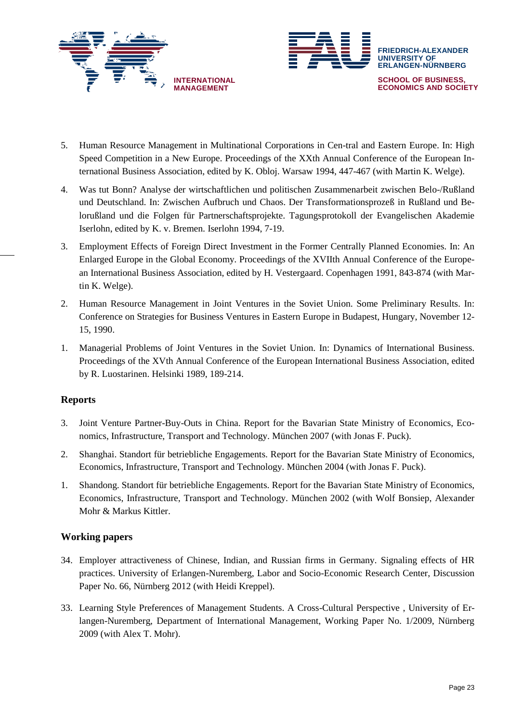



- 5. Human Resource Management in Multinational Corporations in Cen-tral and Eastern Europe. In: High Speed Competition in a New Europe. Proceedings of the XXth Annual Conference of the European International Business Association, edited by K. Obloj. Warsaw 1994, 447-467 (with Martin K. Welge).
- 4. Was tut Bonn? Analyse der wirtschaftlichen und politischen Zusammenarbeit zwischen Belo-/Rußland und Deutschland. In: Zwischen Aufbruch und Chaos. Der Transformationsprozeß in Rußland und Belorußland und die Folgen für Partnerschaftsprojekte. Tagungsprotokoll der Evangelischen Akademie Iserlohn, edited by K. v. Bremen. Iserlohn 1994, 7-19.
- 3. Employment Effects of Foreign Direct Investment in the Former Centrally Planned Economies. In: An Enlarged Europe in the Global Economy. Proceedings of the XVIIth Annual Conference of the European International Business Association, edited by H. Vestergaard. Copenhagen 1991, 843-874 (with Martin K. Welge).
- 2. Human Resource Management in Joint Ventures in the Soviet Union. Some Preliminary Results. In: Conference on Strategies for Business Ventures in Eastern Europe in Budapest, Hungary, November 12- 15, 1990.
- 1. Managerial Problems of Joint Ventures in the Soviet Union. In: Dynamics of International Business. Proceedings of the XVth Annual Conference of the European International Business Association, edited by R. Luostarinen. Helsinki 1989, 189-214.

## **Reports**

- 3. Joint Venture Partner-Buy-Outs in China. Report for the Bavarian State Ministry of Economics, Economics, Infrastructure, Transport and Technology. München 2007 (with Jonas F. Puck).
- 2. Shanghai. Standort für betriebliche Engagements. Report for the Bavarian State Ministry of Economics, Economics, Infrastructure, Transport and Technology. München 2004 (with Jonas F. Puck).
- 1. Shandong. Standort für betriebliche Engagements. Report for the Bavarian State Ministry of Economics, Economics, Infrastructure, Transport and Technology. München 2002 (with Wolf Bonsiep, Alexander Mohr & Markus Kittler.

## **Working papers**

- 34. Employer attractiveness of Chinese, Indian, and Russian firms in Germany. Signaling effects of HR practices. University of Erlangen-Nuremberg, Labor and Socio-Economic Research Center, Discussion Paper No. 66, Nürnberg 2012 (with Heidi Kreppel).
- 33. Learning Style Preferences of Management Students. A Cross-Cultural Perspective , University of Erlangen-Nuremberg, Department of International Management, Working Paper No. 1/2009, Nürnberg 2009 (with Alex T. Mohr).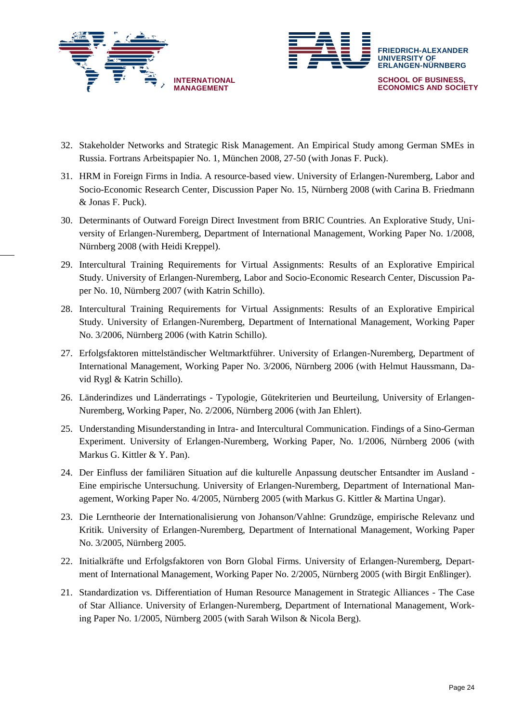



- 32. Stakeholder Networks and Strategic Risk Management. An Empirical Study among German SMEs in Russia. Fortrans Arbeitspapier No. 1, München 2008, 27-50 (with Jonas F. Puck).
- 31. HRM in Foreign Firms in India. A resource-based view. University of Erlangen-Nuremberg, Labor and Socio-Economic Research Center, Discussion Paper No. 15, Nürnberg 2008 (with Carina B. Friedmann & Jonas F. Puck).
- 30. Determinants of Outward Foreign Direct Investment from BRIC Countries. An Explorative Study, University of Erlangen-Nuremberg, Department of International Management, Working Paper No. 1/2008, Nürnberg 2008 (with Heidi Kreppel).
- 29. Intercultural Training Requirements for Virtual Assignments: Results of an Explorative Empirical Study. University of Erlangen-Nuremberg, Labor and Socio-Economic Research Center, Discussion Paper No. 10, Nürnberg 2007 (with Katrin Schillo).
- 28. Intercultural Training Requirements for Virtual Assignments: Results of an Explorative Empirical Study. University of Erlangen-Nuremberg, Department of International Management, Working Paper No. 3/2006, Nürnberg 2006 (with Katrin Schillo).
- 27. Erfolgsfaktoren mittelständischer Weltmarktführer. University of Erlangen-Nuremberg, Department of International Management, Working Paper No. 3/2006, Nürnberg 2006 (with Helmut Haussmann, David Rygl & Katrin Schillo).
- 26. Länderindizes und Länderratings Typologie, Gütekriterien und Beurteilung, University of Erlangen-Nuremberg, Working Paper, No. 2/2006, Nürnberg 2006 (with Jan Ehlert).
- 25. Understanding Misunderstanding in Intra- and Intercultural Communication. Findings of a Sino-German Experiment. University of Erlangen-Nuremberg, Working Paper, No. 1/2006, Nürnberg 2006 (with Markus G. Kittler & Y. Pan).
- 24. Der Einfluss der familiären Situation auf die kulturelle Anpassung deutscher Entsandter im Ausland Eine empirische Untersuchung. University of Erlangen-Nuremberg, Department of International Management, Working Paper No. 4/2005, Nürnberg 2005 (with Markus G. Kittler & Martina Ungar).
- 23. Die Lerntheorie der Internationalisierung von Johanson/Vahlne: Grundzüge, empirische Relevanz und Kritik. University of Erlangen-Nuremberg, Department of International Management, Working Paper No. 3/2005, Nürnberg 2005.
- 22. Initialkräfte und Erfolgsfaktoren von Born Global Firms. University of Erlangen-Nuremberg, Department of International Management, Working Paper No. 2/2005, Nürnberg 2005 (with Birgit Enßlinger).
- 21. Standardization vs. Differentiation of Human Resource Management in Strategic Alliances The Case of Star Alliance. University of Erlangen-Nuremberg, Department of International Management, Working Paper No. 1/2005, Nürnberg 2005 (with Sarah Wilson & Nicola Berg).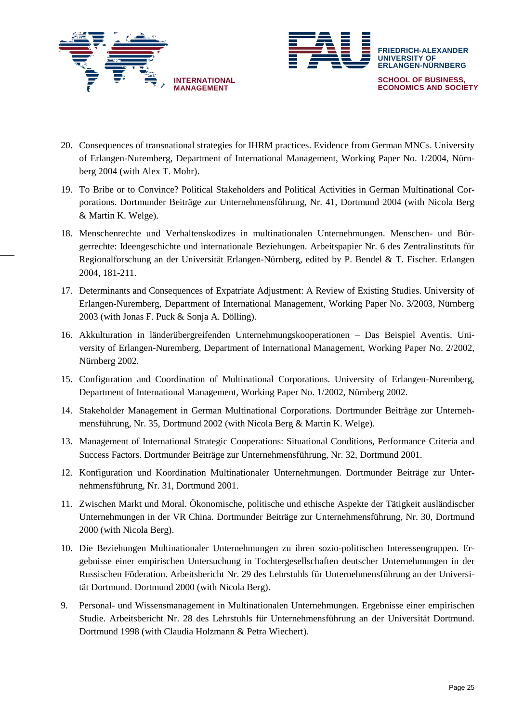



- 20. Consequences of transnational strategies for IHRM practices. Evidence from German MNCs. University of Erlangen-Nuremberg, Department of International Management, Working Paper No. 1/2004, Nürnberg 2004 (with Alex T. Mohr).
- 19. To Bribe or to Convince? Political Stakeholders and Political Activities in German Multinational Corporations. Dortmunder Beiträge zur Unternehmensführung, Nr. 41, Dortmund 2004 (with Nicola Berg & Martin K. Welge).
- 18. Menschenrechte und Verhaltenskodizes in multinationalen Unternehmungen. Menschen- und Bürgerrechte: Ideengeschichte und internationale Beziehungen. Arbeitspapier Nr. 6 des Zentralinstituts für Regionalforschung an der Universität Erlangen-Nürnberg, edited by P. Bendel & T. Fischer. Erlangen 2004, 181-211.
- 17. Determinants and Consequences of Expatriate Adjustment: A Review of Existing Studies. University of Erlangen-Nuremberg, Department of International Management, Working Paper No. 3/2003, Nürnberg 2003 (with Jonas F. Puck & Sonja A. Dölling).
- 16. Akkulturation in länderübergreifenden Unternehmungskooperationen Das Beispiel Aventis. University of Erlangen-Nuremberg, Department of International Management, Working Paper No. 2/2002, Nürnberg 2002.
- 15. Configuration and Coordination of Multinational Corporations. University of Erlangen-Nuremberg, Department of International Management, Working Paper No. 1/2002, Nürnberg 2002.
- 14. Stakeholder Management in German Multinational Corporations. Dortmunder Beiträge zur Unternehmensführung, Nr. 35, Dortmund 2002 (with Nicola Berg & Martin K. Welge).
- 13. Management of International Strategic Cooperations: Situational Conditions, Performance Criteria and Success Factors. Dortmunder Beiträge zur Unternehmensführung, Nr. 32, Dortmund 2001.
- 12. Konfiguration und Koordination Multinationaler Unternehmungen. Dortmunder Beiträge zur Unternehmensführung, Nr. 31, Dortmund 2001.
- 11. Zwischen Markt und Moral. Ökonomische, politische und ethische Aspekte der Tätigkeit ausländischer Unternehmungen in der VR China. Dortmunder Beiträge zur Unternehmensführung, Nr. 30, Dortmund 2000 (with Nicola Berg).
- 10. Die Beziehungen Multinationaler Unternehmungen zu ihren sozio-politischen Interessengruppen. Ergebnisse einer empirischen Untersuchung in Tochtergesellschaften deutscher Unternehmungen in der Russischen Föderation. Arbeitsbericht Nr. 29 des Lehrstuhls für Unternehmensführung an der Universität Dortmund. Dortmund 2000 (with Nicola Berg).
- 9. Personal- und Wissensmanagement in Multinationalen Unternehmungen. Ergebnisse einer empirischen Studie. Arbeitsbericht Nr. 28 des Lehrstuhls für Unternehmensführung an der Universität Dortmund. Dortmund 1998 (with Claudia Holzmann & Petra Wiechert).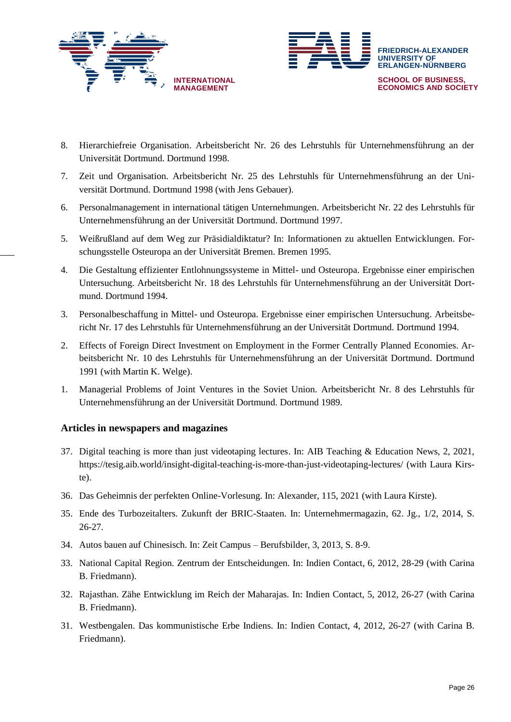



- 8. Hierarchiefreie Organisation. Arbeitsbericht Nr. 26 des Lehrstuhls für Unternehmensführung an der Universität Dortmund. Dortmund 1998.
- 7. Zeit und Organisation. Arbeitsbericht Nr. 25 des Lehrstuhls für Unternehmensführung an der Universität Dortmund. Dortmund 1998 (with Jens Gebauer).
- 6. Personalmanagement in international tätigen Unternehmungen. Arbeitsbericht Nr. 22 des Lehrstuhls für Unternehmensführung an der Universität Dortmund. Dortmund 1997.
- 5. Weißrußland auf dem Weg zur Präsidialdiktatur? In: Informationen zu aktuellen Entwicklungen. Forschungsstelle Osteuropa an der Universität Bremen. Bremen 1995.
- 4. Die Gestaltung effizienter Entlohnungssysteme in Mittel- und Osteuropa. Ergebnisse einer empirischen Untersuchung. Arbeitsbericht Nr. 18 des Lehrstuhls für Unternehmensführung an der Universität Dortmund. Dortmund 1994.
- 3. Personalbeschaffung in Mittel- und Osteuropa. Ergebnisse einer empirischen Untersuchung. Arbeitsbericht Nr. 17 des Lehrstuhls für Unternehmensführung an der Universität Dortmund. Dortmund 1994.
- 2. Effects of Foreign Direct Investment on Employment in the Former Centrally Planned Economies. Arbeitsbericht Nr. 10 des Lehrstuhls für Unternehmensführung an der Universität Dortmund. Dortmund 1991 (with Martin K. Welge).
- 1. Managerial Problems of Joint Ventures in the Soviet Union. Arbeitsbericht Nr. 8 des Lehrstuhls für Unternehmensführung an der Universität Dortmund. Dortmund 1989.

## **Articles in newspapers and magazines**

- 37. Digital teaching is more than just videotaping lectures. In: AIB Teaching & Education News, 2, 2021, https://tesig.aib.world/insight-digital-teaching-is-more-than-just-videotaping-lectures/ (with Laura Kirste).
- 36. Das Geheimnis der perfekten Online-Vorlesung. In: Alexander, 115, 2021 (with Laura Kirste).
- 35. Ende des Turbozeitalters. Zukunft der BRIC-Staaten. In: Unternehmermagazin, 62. Jg., 1/2, 2014, S. 26-27.
- 34. Autos bauen auf Chinesisch. In: Zeit Campus Berufsbilder, 3, 2013, S. 8-9.
- 33. National Capital Region. Zentrum der Entscheidungen. In: Indien Contact, 6, 2012, 28-29 (with Carina B. Friedmann).
- 32. Rajasthan. Zähe Entwicklung im Reich der Maharajas. In: Indien Contact, 5, 2012, 26-27 (with Carina B. Friedmann).
- 31. Westbengalen. Das kommunistische Erbe Indiens. In: Indien Contact, 4, 2012, 26-27 (with Carina B. Friedmann).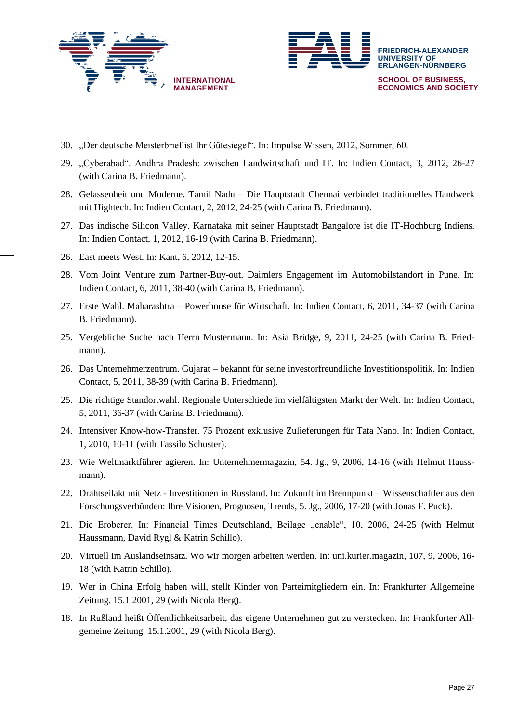



- 30. "Der deutsche Meisterbrief ist Ihr Gütesiegel". In: Impulse Wissen, 2012, Sommer, 60.
- 29. "Cyberabad". Andhra Pradesh: zwischen Landwirtschaft und IT. In: Indien Contact, 3, 2012, 26-27 (with Carina B. Friedmann).
- 28. Gelassenheit und Moderne. Tamil Nadu Die Hauptstadt Chennai verbindet traditionelles Handwerk mit Hightech. In: Indien Contact, 2, 2012, 24-25 (with Carina B. Friedmann).
- 27. Das indische Silicon Valley. Karnataka mit seiner Hauptstadt Bangalore ist die IT-Hochburg Indiens. In: Indien Contact, 1, 2012, 16-19 (with Carina B. Friedmann).
- 26. East meets West. In: Kant, 6, 2012, 12-15.
- 28. Vom Joint Venture zum Partner-Buy-out. Daimlers Engagement im Automobilstandort in Pune. In: Indien Contact, 6, 2011, 38-40 (with Carina B. Friedmann).
- 27. Erste Wahl. Maharashtra Powerhouse für Wirtschaft. In: Indien Contact, 6, 2011, 34-37 (with Carina B. Friedmann).
- 25. Vergebliche Suche nach Herrn Mustermann. In: Asia Bridge, 9, 2011, 24-25 (with Carina B. Friedmann).
- 26. Das Unternehmerzentrum. Gujarat bekannt für seine investorfreundliche Investitionspolitik. In: Indien Contact, 5, 2011, 38-39 (with Carina B. Friedmann).
- 25. Die richtige Standortwahl. Regionale Unterschiede im vielfältigsten Markt der Welt. In: Indien Contact, 5, 2011, 36-37 (with Carina B. Friedmann).
- 24. Intensiver Know-how-Transfer. 75 Prozent exklusive Zulieferungen für Tata Nano. In: Indien Contact, 1, 2010, 10-11 (with Tassilo Schuster).
- 23. Wie Weltmarktführer agieren. In: Unternehmermagazin, 54. Jg., 9, 2006, 14-16 (with Helmut Haussmann).
- 22. Drahtseilakt mit Netz Investitionen in Russland. In: Zukunft im Brennpunkt Wissenschaftler aus den Forschungsverbünden: Ihre Visionen, Prognosen, Trends, 5. Jg., 2006, 17-20 (with Jonas F. Puck).
- 21. Die Eroberer. In: Financial Times Deutschland, Beilage "enable", 10, 2006, 24-25 (with Helmut Haussmann, David Rygl & Katrin Schillo).
- 20. Virtuell im Auslandseinsatz. Wo wir morgen arbeiten werden. In: uni.kurier.magazin, 107, 9, 2006, 16- 18 (with Katrin Schillo).
- 19. Wer in China Erfolg haben will, stellt Kinder von Parteimitgliedern ein. In: Frankfurter Allgemeine Zeitung. 15.1.2001, 29 (with Nicola Berg).
- 18. In Rußland heißt Öffentlichkeitsarbeit, das eigene Unternehmen gut zu verstecken. In: Frankfurter Allgemeine Zeitung. 15.1.2001, 29 (with Nicola Berg).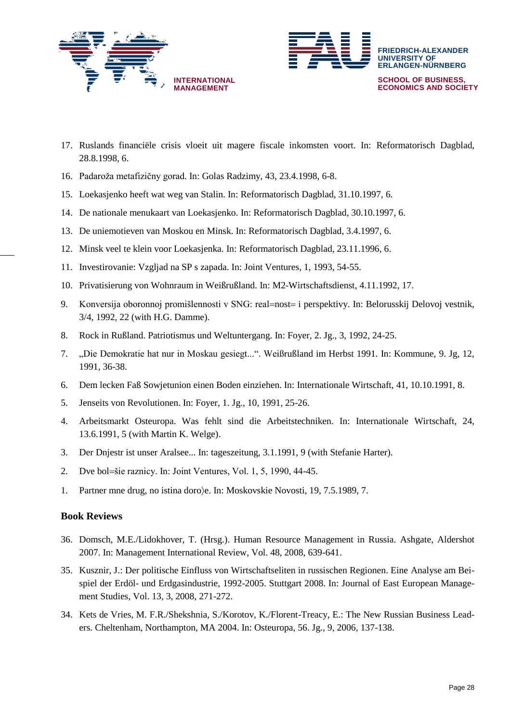



- 17. Ruslands financiële crisis vloeit uit magere fiscale inkomsten voort. In: Reformatorisch Dagblad, 28.8.1998, 6.
- 16. Padaroža metafizičny gorad. In: Golas Radzimy, 43, 23.4.1998, 6-8.
- 15. Loekasjenko heeft wat weg van Stalin. In: Reformatorisch Dagblad, 31.10.1997, 6.
- 14. De nationale menukaart van Loekasjenko. In: Reformatorisch Dagblad, 30.10.1997, 6.
- 13. De uniemotieven van Moskou en Minsk. In: Reformatorisch Dagblad, 3.4.1997, 6.
- 12. Minsk veel te klein voor Loekasjenka. In: Reformatorisch Dagblad, 23.11.1996, 6.
- 11. Investirovanie: Vzgljad na SP s zapada. In: Joint Ventures, 1, 1993, 54-55.
- 10. Privatisierung von Wohnraum in Weißrußland. In: M2-Wirtschaftsdienst, 4.11.1992, 17.
- 9. Konversija oboronnoj promišlennosti v SNG: real=nost= i perspektivy. In: Belorusskij Delovoj vestnik, 3/4, 1992, 22 (with H.G. Damme).
- 8. Rock in Rußland. Patriotismus und Weltuntergang. In: Foyer, 2. Jg., 3, 1992, 24-25.
- 7. "Die Demokratie hat nur in Moskau gesiegt...". Weißrußland im Herbst 1991. In: Kommune, 9. Jg, 12, 1991, 36-38.
- 6. Dem lecken Faß Sowjetunion einen Boden einziehen. In: Internationale Wirtschaft, 41, 10.10.1991, 8.
- 5. Jenseits von Revolutionen. In: Foyer, 1. Jg., 10, 1991, 25-26.
- 4. Arbeitsmarkt Osteuropa. Was fehlt sind die Arbeitstechniken. In: Internationale Wirtschaft, 24, 13.6.1991, 5 (with Martin K. Welge).
- 3. Der Dnjestr ist unser Aralsee... In: tageszeitung, 3.1.1991, 9 (with Stefanie Harter).
- 2. Dve bol=šie raznicy. In: Joint Ventures, Vol. 1, 5, 1990, 44-45.
- 1. Partner mne drug, no istina doro $e$ . In: Moskovskie Novosti, 19, 7.5.1989, 7.

## **Book Reviews**

- 36. Domsch, M.E./Lidokhover, T. (Hrsg.). Human Resource Management in Russia. Ashgate, Aldershot 2007. In: Management International Review, Vol. 48, 2008, 639-641.
- 35. Kusznir, J.: Der politische Einfluss von Wirtschaftseliten in russischen Regionen. Eine Analyse am Beispiel der Erdöl- und Erdgasindustrie, 1992-2005. Stuttgart 2008. In: Journal of East European Management Studies, Vol. 13, 3, 2008, 271-272.
- 34. Kets de Vries, M. F.R./Shekshnia, S./Korotov, K./Florent-Treacy, E.: The New Russian Business Leaders. Cheltenham, Northampton, MA 2004. In: Osteuropa, 56. Jg., 9, 2006, 137-138.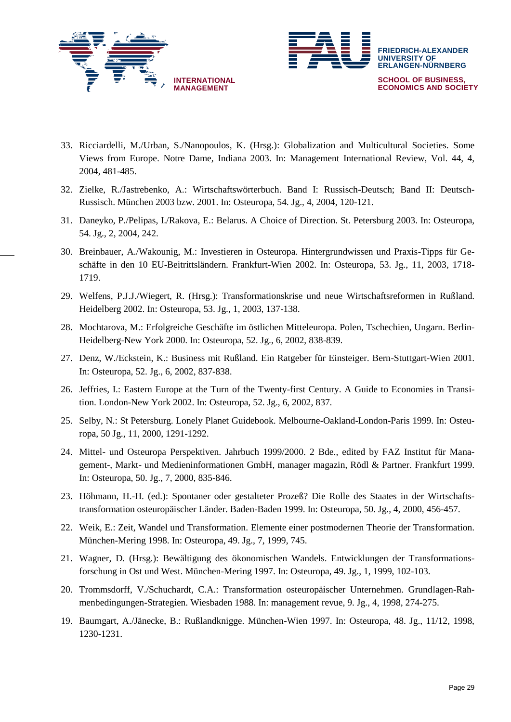



- 33. Ricciardelli, M./Urban, S./Nanopoulos, K. (Hrsg.): Globalization and Multicultural Societies. Some Views from Europe. Notre Dame, Indiana 2003. In: Management International Review, Vol. 44, 4, 2004, 481-485.
- 32. Zielke, R./Jastrebenko, A.: Wirtschaftswörterbuch. Band I: Russisch-Deutsch; Band II: Deutsch-Russisch. München 2003 bzw. 2001. In: Osteuropa, 54. Jg., 4, 2004, 120-121.
- 31. Daneyko, P./Pelipas, I./Rakova, E.: Belarus. A Choice of Direction. St. Petersburg 2003. In: Osteuropa, 54. Jg., 2, 2004, 242.
- 30. Breinbauer, A./Wakounig, M.: Investieren in Osteuropa. Hintergrundwissen und Praxis-Tipps für Geschäfte in den 10 EU-Beitrittsländern. Frankfurt-Wien 2002. In: Osteuropa, 53. Jg., 11, 2003, 1718- 1719.
- 29. Welfens, P.J.J./Wiegert, R. (Hrsg.): Transformationskrise und neue Wirtschaftsreformen in Rußland. Heidelberg 2002. In: Osteuropa, 53. Jg., 1, 2003, 137-138.
- 28. Mochtarova, M.: Erfolgreiche Geschäfte im östlichen Mitteleuropa. Polen, Tschechien, Ungarn. Berlin-Heidelberg-New York 2000. In: Osteuropa, 52. Jg., 6, 2002, 838-839.
- 27. Denz, W./Eckstein, K.: Business mit Rußland. Ein Ratgeber für Einsteiger. Bern-Stuttgart-Wien 2001. In: Osteuropa, 52. Jg., 6, 2002, 837-838.
- 26. Jeffries, I.: Eastern Europe at the Turn of the Twenty-first Century. A Guide to Economies in Transition. London-New York 2002. In: Osteuropa, 52. Jg., 6, 2002, 837.
- 25. Selby, N.: St Petersburg. Lonely Planet Guidebook. Melbourne-Oakland-London-Paris 1999. In: Osteuropa, 50 Jg., 11, 2000, 1291-1292.
- 24. Mittel- und Osteuropa Perspektiven. Jahrbuch 1999/2000. 2 Bde., edited by FAZ Institut für Management-, Markt- und Medieninformationen GmbH, manager magazin, Rödl & Partner. Frankfurt 1999. In: Osteuropa, 50. Jg., 7, 2000, 835-846.
- 23. Höhmann, H.-H. (ed.): Spontaner oder gestalteter Prozeß? Die Rolle des Staates in der Wirtschaftstransformation osteuropäischer Länder. Baden-Baden 1999. In: Osteuropa, 50. Jg., 4, 2000, 456-457.
- 22. Weik, E.: Zeit, Wandel und Transformation. Elemente einer postmodernen Theorie der Transformation. München-Mering 1998. In: Osteuropa, 49. Jg., 7, 1999, 745.
- 21. Wagner, D. (Hrsg.): Bewältigung des ökonomischen Wandels. Entwicklungen der Transformationsforschung in Ost und West. München-Mering 1997. In: Osteuropa, 49. Jg., 1, 1999, 102-103.
- 20. Trommsdorff, V./Schuchardt, C.A.: Transformation osteuropäischer Unternehmen. Grundlagen-Rahmenbedingungen-Strategien. Wiesbaden 1988. In: management revue, 9. Jg., 4, 1998, 274-275.
- 19. Baumgart, A./Jänecke, B.: Rußlandknigge. München-Wien 1997. In: Osteuropa, 48. Jg., 11/12, 1998, 1230-1231.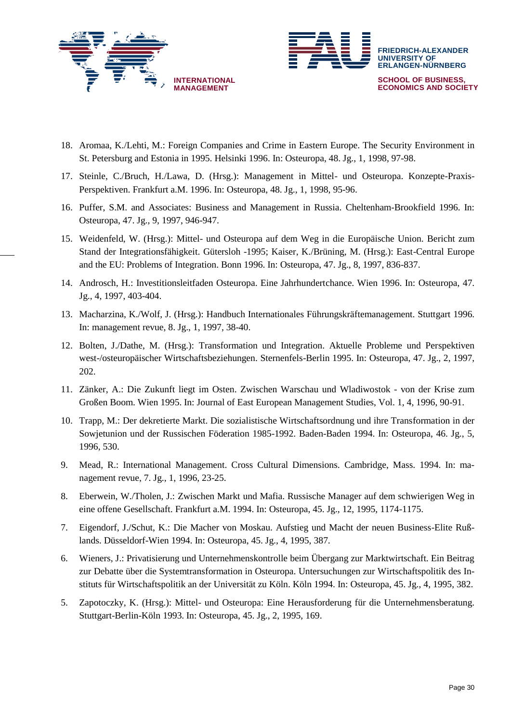



- 18. Aromaa, K./Lehti, M.: Foreign Companies and Crime in Eastern Europe. The Security Environment in St. Petersburg and Estonia in 1995. Helsinki 1996. In: Osteuropa, 48. Jg., 1, 1998, 97-98.
- 17. Steinle, C./Bruch, H./Lawa, D. (Hrsg.): Management in Mittel- und Osteuropa. Konzepte-Praxis-Perspektiven. Frankfurt a.M. 1996. In: Osteuropa, 48. Jg., 1, 1998, 95-96.
- 16. Puffer, S.M. and Associates: Business and Management in Russia. Cheltenham-Brookfield 1996. In: Osteuropa, 47. Jg., 9, 1997, 946-947.
- 15. Weidenfeld, W. (Hrsg.): Mittel- und Osteuropa auf dem Weg in die Europäische Union. Bericht zum Stand der Integrationsfähigkeit. Gütersloh -1995; Kaiser, K./Brüning, M. (Hrsg.): East-Central Europe and the EU: Problems of Integration. Bonn 1996. In: Osteuropa, 47. Jg., 8, 1997, 836-837.
- 14. Androsch, H.: Investitionsleitfaden Osteuropa. Eine Jahrhundertchance. Wien 1996. In: Osteuropa, 47. Jg., 4, 1997, 403-404.
- 13. Macharzina, K./Wolf, J. (Hrsg.): Handbuch Internationales Führungskräftemanagement. Stuttgart 1996. In: management revue, 8. Jg., 1, 1997, 38-40.
- 12. Bolten, J./Dathe, M. (Hrsg.): Transformation und Integration. Aktuelle Probleme und Perspektiven west-/osteuropäischer Wirtschaftsbeziehungen. Sternenfels-Berlin 1995. In: Osteuropa, 47. Jg., 2, 1997, 202.
- 11. Zänker, A.: Die Zukunft liegt im Osten. Zwischen Warschau und Wladiwostok von der Krise zum Großen Boom. Wien 1995. In: Journal of East European Management Studies, Vol. 1, 4, 1996, 90-91.
- 10. Trapp, M.: Der dekretierte Markt. Die sozialistische Wirtschaftsordnung und ihre Transformation in der Sowjetunion und der Russischen Föderation 1985-1992. Baden-Baden 1994. In: Osteuropa, 46. Jg., 5, 1996, 530.
- 9. Mead, R.: International Management. Cross Cultural Dimensions. Cambridge, Mass. 1994. In: management revue, 7. Jg., 1, 1996, 23-25.
- 8. Eberwein, W./Tholen, J.: Zwischen Markt und Mafia. Russische Manager auf dem schwierigen Weg in eine offene Gesellschaft. Frankfurt a.M. 1994. In: Osteuropa, 45. Jg., 12, 1995, 1174-1175.
- 7. Eigendorf, J./Schut, K.: Die Macher von Moskau. Aufstieg und Macht der neuen Business-Elite Rußlands. Düsseldorf-Wien 1994. In: Osteuropa, 45. Jg., 4, 1995, 387.
- 6. Wieners, J.: Privatisierung und Unternehmenskontrolle beim Übergang zur Marktwirtschaft. Ein Beitrag zur Debatte über die Systemtransformation in Osteuropa. Untersuchungen zur Wirtschaftspolitik des Instituts für Wirtschaftspolitik an der Universität zu Köln. Köln 1994. In: Osteuropa, 45. Jg., 4, 1995, 382.
- 5. Zapotoczky, K. (Hrsg.): Mittel- und Osteuropa: Eine Herausforderung für die Unternehmensberatung. Stuttgart-Berlin-Köln 1993. In: Osteuropa, 45. Jg., 2, 1995, 169.